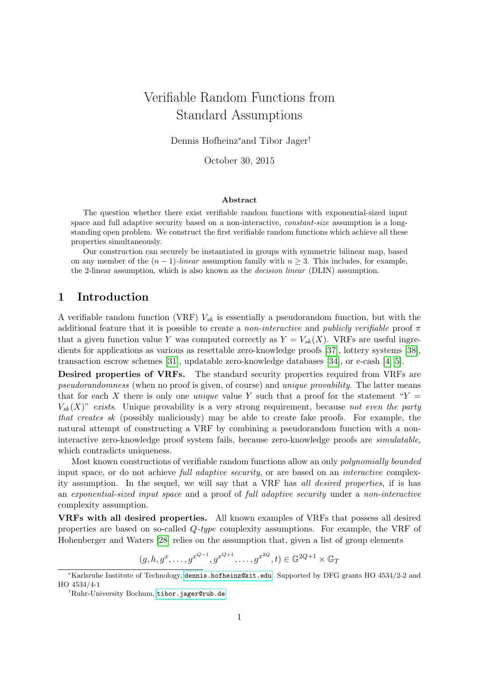# Verifiable Random Functions from Standard Assumptions

Dennis Hofheinz<sup>∗</sup>and Tibor Jager†

October 30, 2015

#### Abstract

The question whether there exist verifiable random functions with exponential-sized input space and full adaptive security based on a non-interactive, constant-size assumption is a longstanding open problem. We construct the first verifiable random functions which achieve all these properties simultaneously.

Our construction can securely be instantiated in groups with symmetric bilinear map, based on any member of the  $(n-1)$ -linear assumption family with  $n \geq 3$ . This includes, for example, the 2-linear assumption, which is also known as the decision linear (DLIN) assumption.

### 1 Introduction

A verifiable random function (VRF)  $V_{sk}$  is essentially a pseudorandom function, but with the additional feature that it is possible to create a *non-interactive* and *publicly verifiable* proof  $\pi$ that a given function value Y was computed correctly as  $Y = V_{sk}(X)$ . VRFs are useful ingredients for applications as various as resettable zero-knowledge proofs [\[37\]](#page-21-0), lottery systems [\[38\]](#page-21-1), transaction escrow schemes [\[31\]](#page-21-2), updatable zero-knowledge databases [\[34\]](#page-21-3), or e-cash [\[4,](#page-19-0) [5\]](#page-19-1).

Desired properties of VRFs. The standard security properties required from VRFs are pseudorandomness (when no proof is given, of course) and unique provability. The latter means that for each X there is only one *unique* value Y such that a proof for the statement " $Y =$  $V_{sk}(X)$ " exists. Unique provability is a very strong requirement, because not even the party that creates sk (possibly maliciously) may be able to create fake proofs. For example, the natural attempt of constructing a VRF by combining a pseudorandom function with a noninteractive zero-knowledge proof system fails, because zero-knowledge proofs are simulatable, which contradicts uniqueness.

Most known constructions of verifiable random functions allow an only polynomially bounded input space, or do not achieve *full adaptive security*, or are based on an *interactive* complexity assumption. In the sequel, we will say that a VRF has all desired properties, if is has an exponential-sized input space and a proof of full adaptive security under a non-interactive complexity assumption.

VRFs with all desired properties. All known examples of VRFs that possess all desired properties are based on so-called Q-type complexity assumptions. For example, the VRF of Hohenberger and Waters [\[28\]](#page-21-4) relies on the assumption that, given a list of group elements

$$
(g, h, g^x, \dots, g^{x^{Q-1}}, g^{x^{Q+1}}, \dots, g^{x^{2Q}}, t) \in \mathbb{G}^{2Q+1} \times \mathbb{G}_T
$$

<sup>∗</sup>Karlsruhe Institute of Technology, <dennis.hofheinz@kit.edu>. Supported by DFG grants HO 4534/2-2 and HO 4534/4-1

<sup>†</sup>Ruhr-University Bochum, <tibor.jager@rub.de>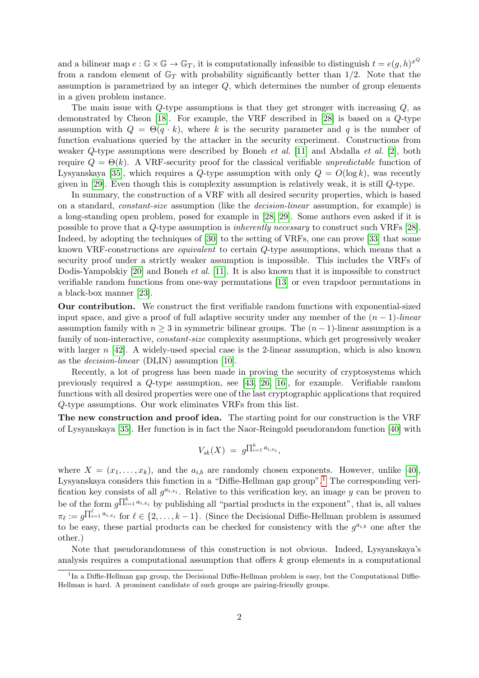and a bilinear map  $e : \mathbb{G} \times \mathbb{G} \to \mathbb{G}_T$ , it is computationally infeasible to distinguish  $t = e(g, h)^{x^Q}$ from a random element of  $\mathbb{G}_T$  with probability significantly better than 1/2. Note that the assumption is parametrized by an integer  $Q$ , which determines the number of group elements in a given problem instance.

The main issue with Q-type assumptions is that they get stronger with increasing Q, as demonstrated by Cheon [\[18\]](#page-20-0). For example, the VRF described in [\[28\]](#page-21-4) is based on a Q-type assumption with  $Q = \Theta(q \cdot k)$ , where k is the security parameter and q is the number of function evaluations queried by the attacker in the security experiment. Constructions from weaker  $Q$ -type assumptions were described by Boneh *et al.* [\[11\]](#page-19-2) and Abdalla *et al.* [\[2\]](#page-19-3), both require  $Q = \Theta(k)$ . A VRF-security proof for the classical verifiable unpredictable function of Lysyanskaya [\[35\]](#page-21-5), which requires a Q-type assumption with only  $Q = O(\log k)$ , was recently given in [\[29\]](#page-21-6). Even though this is complexity assumption is relatively weak, it is still Q-type.

In summary, the construction of a VRF with all desired security properties, which is based on a standard, constant-size assumption (like the decision-linear assumption, for example) is a long-standing open problem, posed for example in [\[28,](#page-21-4) [29\]](#page-21-6). Some authors even asked if it is possible to prove that a Q-type assumption is inherently necessary to construct such VRFs [\[28\]](#page-21-4). Indeed, by adopting the techniques of [\[30\]](#page-21-7) to the setting of VRFs, one can prove [\[33\]](#page-21-8) that some known VRF-constructions are equivalent to certain Q-type assumptions, which means that a security proof under a strictly weaker assumption is impossible. This includes the VRFs of Dodis-Yampolskiy [\[20\]](#page-20-1) and Boneh *et al.* [\[11\]](#page-19-2). It is also known that it is impossible to construct verifiable random functions from one-way permutations [\[13\]](#page-20-2) or even trapdoor permutations in a black-box manner [\[23\]](#page-20-3).

Our contribution. We construct the first verifiable random functions with exponential-sized input space, and give a proof of full adaptive security under any member of the  $(n - 1)$ -linear assumption family with  $n \geq 3$  in symmetric bilinear groups. The  $(n-1)$ -linear assumption is a family of non-interactive, constant-size complexity assumptions, which get progressively weaker with larger  $n \leq 42$ . A widely-used special case is the 2-linear assumption, which is also known as the decision-linear (DLIN) assumption [\[10\]](#page-19-4).

Recently, a lot of progress has been made in proving the security of cryptosystems which previously required a Q-type assumption, see [\[43,](#page-22-0) [26,](#page-20-4) [16\]](#page-20-5), for example. Verifiable random functions with all desired properties were one of the last cryptographic applications that required Q-type assumptions. Our work eliminates VRFs from this list.

The new construction and proof idea. The starting point for our construction is the VRF of Lysyanskaya [\[35\]](#page-21-5). Her function is in fact the Naor-Reingold pseudorandom function [\[40\]](#page-21-10) with

$$
V_{sk}(X) = g^{\prod_{i=1}^k a_{i,x_i}},
$$

where  $X = (x_1, \ldots, x_k)$ , and the  $a_{i,b}$  are randomly chosen exponents. However, unlike [\[40\]](#page-21-10), Lysyanskaya considers this function in a "Diffie-Hellman gap group".[1](#page-1-0) The corresponding verification key consists of all  $g^{a_{i,x_i}}$ . Relative to this verification key, an image y can be proven to be of the form  $g^{\prod_{i=1}^k a_{i,x_i}}$  by publishing all "partial products in the exponent", that is, all values  $\pi_{\ell} := g^{\prod_{i=1}^{\ell} a_{i,x_i}}$  for  $\ell \in \{2,\ldots,k-1\}$ . (Since the Decisional Diffie-Hellman problem is assumed to be easy, these partial products can be checked for consistency with the  $g^{a_{i,b}}$  one after the other.)

Note that pseudorandomness of this construction is not obvious. Indeed, Lysyanskaya's analysis requires a computational assumption that offers  $k$  group elements in a computational

<span id="page-1-0"></span><sup>&</sup>lt;sup>1</sup>In a Diffie-Hellman gap group, the Decisional Diffie-Hellman problem is easy, but the Computational Diffie-Hellman is hard. A prominent candidate of such groups are pairing-friendly groups.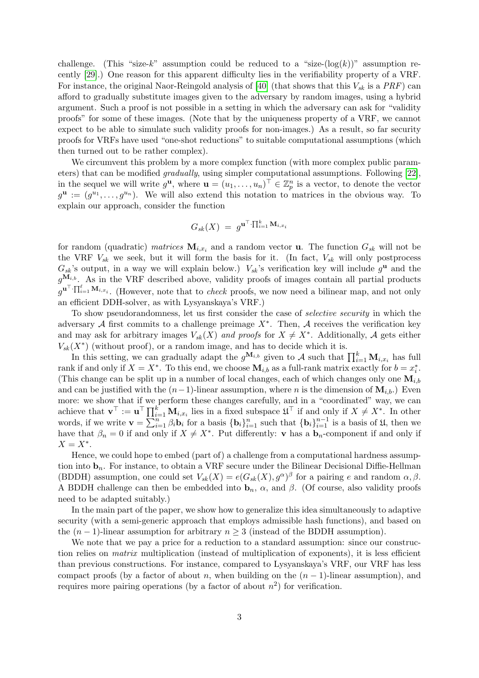challenge. (This "size-k" assumption could be reduced to a "size- $(\log(k))^n$  assumption recently [\[29\]](#page-21-6).) One reason for this apparent difficulty lies in the verifiability property of a VRF. For instance, the original Naor-Reingold analysis of [\[40\]](#page-21-10) (that shows that this  $V_{sk}$  is a PRF) can afford to gradually substitute images given to the adversary by random images, using a hybrid argument. Such a proof is not possible in a setting in which the adversary can ask for "validity proofs" for some of these images. (Note that by the uniqueness property of a VRF, we cannot expect to be able to simulate such validity proofs for non-images.) As a result, so far security proofs for VRFs have used "one-shot reductions" to suitable computational assumptions (which then turned out to be rather complex).

We circumvent this problem by a more complex function (with more complex public parameters) that can be modified gradually, using simpler computational assumptions. Following [\[22\]](#page-20-6), in the sequel we will write  $g^{\mathbf{u}},$  where  $\mathbf{u} = (u_1, \ldots, u_n)^\top \in \mathbb{Z}_p^n$  is a vector, to denote the vector  $g^{\mathbf{u}} := (g^{u_1}, \ldots, g^{u_n}).$  We will also extend this notation to matrices in the obvious way. To explain our approach, consider the function

$$
G_{sk}(X) = g^{\mathbf{u}^\top \cdot \prod_{i=1}^k \mathbf{M}_{i,x_i}}
$$

for random (quadratic) *matrices*  $\mathbf{M}_{i,x_i}$  and a random vector **u**. The function  $G_{sk}$  will not be the VRF  $V_{sk}$  we seek, but it will form the basis for it. (In fact,  $V_{sk}$  will only postprocess  $G_{sk}$ 's output, in a way we will explain below.)  $V_{sk}$ 's verification key will include  $g^{\mathbf{u}}$  and the  $g^{\mathbf{M}_{i,b}}$ . As in the VRF described above, validity proofs of images contain all partial products  $g^{\mathbf{u}^\top \cdot \prod_{i=1}^\ell \mathbf{M}_{i,x_i}}$ . (However, note that to *check* proofs, we now need a bilinear map, and not only an efficient DDH-solver, as with Lysyanskaya's VRF.)

To show pseudorandomness, let us first consider the case of selective security in which the adversary  $A$  first commits to a challenge preimage  $X^*$ . Then,  $A$  receives the verification key and may ask for arbitrary images  $V_{sk}(X)$  and proofs for  $X \neq X^*$ . Additionally, A gets either  $V_{sk}(X^*)$  (without proof), or a random image, and has to decide which it is.

In this setting, we can gradually adapt the  $g^{\mathbf{M}_{i,b}}$  given to A such that  $\prod_{i=1}^{k} \mathbf{M}_{i,x_i}$  has full rank if and only if  $X = X^*$ . To this end, we choose  $\mathbf{M}_{i,b}$  as a full-rank matrix exactly for  $b = x_i^*$ . (This change can be split up in a number of local changes, each of which changes only one  $\mathbf{M}_{i,b}$ and can be justified with the  $(n-1)$ -linear assumption, where n is the dimension of  $\mathbf{M}_{i,b}$ .) Even more: we show that if we perform these changes carefully, and in a "coordinated" way, we can achieve that  $\mathbf{v}^{\top} := \mathbf{u}^{\top} \prod_{i=1}^{k} \mathbf{M}_{i,x_i}$  lies in a fixed subspace  $\mathfrak{U}^{\top}$  if and only if  $X \neq X^*$ . In other words, if we write  $\mathbf{v} = \sum_{i=1}^{n} \beta_i \mathbf{b}_i$  for a basis  $\{\mathbf{b}_i\}_{i=1}^{n}$  such that  $\{\mathbf{b}_i\}_{i=1}^{n-1}$  is a basis of  $\mathfrak{U}$ , then we have that  $\beta_n = 0$  if and only if  $X \neq X^*$ . Put differently: **v** has a  $\mathbf{b}_n$ -component if and only if  $X=X^*$ .

Hence, we could hope to embed (part of) a challenge from a computational hardness assumption into  $\mathbf{b}_n$ . For instance, to obtain a VRF secure under the Bilinear Decisional Diffie-Hellman (BDDH) assumption, one could set  $V_{sk}(X) = e(G_{sk}(X), g^{\alpha})^{\beta}$  for a pairing e and random  $\alpha, \beta$ . A BDDH challenge can then be embedded into  $\mathbf{b}_n$ ,  $\alpha$ , and  $\beta$ . (Of course, also validity proofs need to be adapted suitably.)

In the main part of the paper, we show how to generalize this idea simultaneously to adaptive security (with a semi-generic approach that employs admissible hash functions), and based on the  $(n-1)$ -linear assumption for arbitrary  $n \geq 3$  (instead of the BDDH assumption).

We note that we pay a price for a reduction to a standard assumption: since our construction relies on matrix multiplication (instead of multiplication of exponents), it is less efficient than previous constructions. For instance, compared to Lysyanskaya's VRF, our VRF has less compact proofs (by a factor of about n, when building on the  $(n-1)$ -linear assumption), and requires more pairing operations (by a factor of about  $n^2$ ) for verification.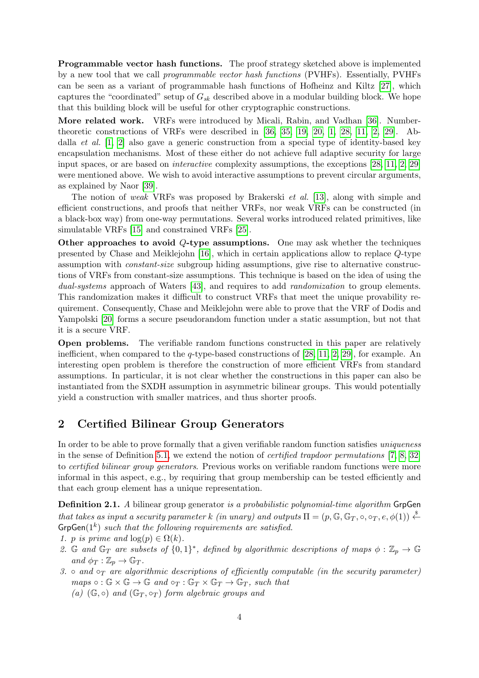Programmable vector hash functions. The proof strategy sketched above is implemented by a new tool that we call programmable vector hash functions (PVHFs). Essentially, PVHFs can be seen as a variant of programmable hash functions of Hofheinz and Kiltz [\[27\]](#page-21-11), which captures the "coordinated" setup of  $G_{sk}$  described above in a modular building block. We hope that this building block will be useful for other cryptographic constructions.

More related work. VRFs were introduced by Micali, Rabin, and Vadhan [\[36\]](#page-21-12). Numbertheoretic constructions of VRFs were described in [\[36,](#page-21-12) [35,](#page-21-5) [19,](#page-20-7) [20,](#page-20-1) [1,](#page-19-5) [28,](#page-21-4) [11,](#page-19-2) [2,](#page-19-3) [29\]](#page-21-6). Abdalla *et al.*  $[1, 2]$  $[1, 2]$  also gave a generic construction from a special type of identity-based key encapsulation mechanisms. Most of these either do not achieve full adaptive security for large input spaces, or are based on interactive complexity assumptions, the exceptions [\[28,](#page-21-4) [11,](#page-19-2) [2,](#page-19-3) [29\]](#page-21-6) were mentioned above. We wish to avoid interactive assumptions to prevent circular arguments, as explained by Naor [\[39\]](#page-21-13).

The notion of weak VRFs was proposed by Brakerski et al. [\[13\]](#page-20-2), along with simple and efficient constructions, and proofs that neither VRFs, nor weak VRFs can be constructed (in a black-box way) from one-way permutations. Several works introduced related primitives, like simulatable VRFs [\[15\]](#page-20-8) and constrained VRFs [\[25\]](#page-20-9).

Other approaches to avoid  $Q$ -type assumptions. One may ask whether the techniques presented by Chase and Meiklejohn [\[16\]](#page-20-5), which in certain applications allow to replace Q-type assumption with constant-size subgroup hiding assumptions, give rise to alternative constructions of VRFs from constant-size assumptions. This technique is based on the idea of using the dual-systems approach of Waters [\[43\]](#page-22-0), and requires to add *randomization* to group elements. This randomization makes it difficult to construct VRFs that meet the unique provability requirement. Consequently, Chase and Meiklejohn were able to prove that the VRF of Dodis and Yampolski [\[20\]](#page-20-1) forms a secure pseudorandom function under a static assumption, but not that it is a secure VRF.

Open problems. The verifiable random functions constructed in this paper are relatively inefficient, when compared to the q-type-based constructions of [\[28,](#page-21-4) [11,](#page-19-2) [2,](#page-19-3) [29\]](#page-21-6), for example. An interesting open problem is therefore the construction of more efficient VRFs from standard assumptions. In particular, it is not clear whether the constructions in this paper can also be instantiated from the SXDH assumption in asymmetric bilinear groups. This would potentially yield a construction with smaller matrices, and thus shorter proofs.

### 2 Certified Bilinear Group Generators

In order to be able to prove formally that a given verifiable random function satisfies *uniqueness* in the sense of Definition [5.1,](#page-13-0) we extend the notion of certified trapdoor permutations [\[7,](#page-19-6) [8,](#page-19-7) [32\]](#page-21-14) to certified bilinear group generators. Previous works on verifiable random functions were more informal in this aspect, e.g., by requiring that group membership can be tested efficiently and that each group element has a unique representation.

<span id="page-3-0"></span>**Definition 2.1.** A bilinear group generator is a probabilistic polynomial-time algorithm GrpGen that takes as input a security parameter k (in unary) and outputs  $\Pi = (p, \mathbb{G}, \mathbb{G}_T, \circ, \circ_T, e, \phi(1)) \stackrel{\$}{\leftarrow}$  $\mathsf{GrpGen}(1^k)$  such that the following requirements are satisfied.

- 1. p is prime and  $\log(p) \in \Omega(k)$ .
- 2. G and  $\mathbb{G}_T$  are subsets of  $\{0,1\}^*$ , defined by algorithmic descriptions of maps  $\phi : \mathbb{Z}_p \to \mathbb{G}$ and  $\phi_T : \mathbb{Z}_p \to \mathbb{G}_T$ .
- 3. and  $\circ_T$  are algorithmic descriptions of efficiently computable (in the security parameter)  $maps \circ : \mathbb{G} \times \mathbb{G} \to \mathbb{G} and \circ_T : \mathbb{G}_T \times \mathbb{G}_T \to \mathbb{G}_T$ , such that (a)  $(\mathbb{G}, \circ)$  and  $(\mathbb{G}_T, \circ_T)$  form algebraic groups and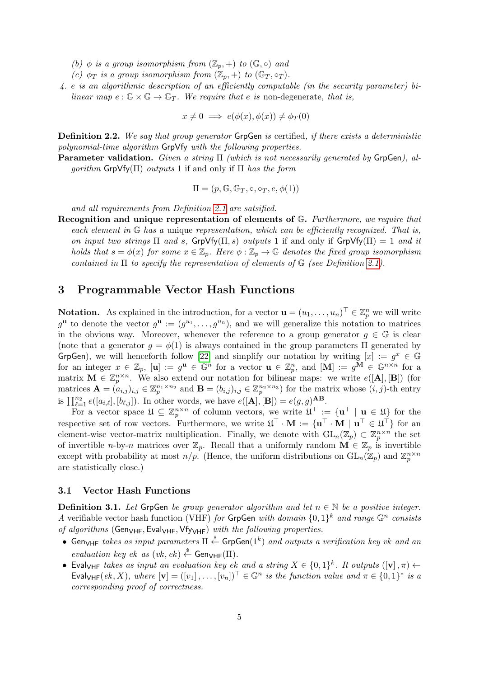(b)  $\phi$  is a group isomorphism from  $(\mathbb{Z}_p, +)$  to  $(\mathbb{G}, \circ)$  and

- (c)  $\phi_T$  is a group isomorphism from  $(\mathbb{Z}_p, +)$  to  $(\mathbb{G}_T, \circ_T)$ .
- 4. e is an algorithmic description of an efficiently computable (in the security parameter) bilinear map  $e : \mathbb{G} \times \mathbb{G} \to \mathbb{G}_T$ . We require that e is non-degenerate, that is,

$$
x \neq 0 \implies e(\phi(x), \phi(x)) \neq \phi_T(0)
$$

<span id="page-4-2"></span>Definition 2.2. We say that group generator GrpGen is certified, if there exists a deterministic polynomial-time algorithm GrpVfy with the following properties.

**Parameter validation.** Given a string  $\Pi$  (which is not necessarily generated by GrpGen), al $qorithm Gr$ pVfy( $\Pi$ ) outputs 1 if and only if  $\Pi$  has the form

 $\Pi = (p, \mathbb{G}, \mathbb{G}_T, \circ, \circ_T, e, \phi(1))$ 

and all requirements from Definition [2.1](#page-3-0) are satsified.

Recognition and unique representation of elements of G. Furthermore, we require that each element in  $\mathbb G$  has a unique representation, which can be efficiently recognized. That is, on input two strings  $\Pi$  and s,  $GrpVf_Y(\Pi, s)$  outputs 1 if and only if  $GrpVf_Y(\Pi) = 1$  and it holds that  $s = \phi(x)$  for some  $x \in \mathbb{Z}_p$ . Here  $\phi : \mathbb{Z}_p \to \mathbb{G}$  denotes the fixed group isomorphism contained in  $\Pi$  to specify the representation of elements of  $\mathbb G$  (see Definition [2.1\)](#page-3-0).

### <span id="page-4-1"></span>3 Programmable Vector Hash Functions

**Notation.** As explained in the introduction, for a vector  $\mathbf{u} = (u_1, \dots, u_n)^\top \in \mathbb{Z}_p^n$  we will write  $g^{\mathbf{u}}$  to denote the vector  $g^{\mathbf{u}} := (g^{u_1}, \ldots, g^{u_n})$ , and we will generalize this notation to matrices in the obvious way. Moreover, whenever the reference to a group generator  $g \in \mathbb{G}$  is clear (note that a generator  $q = \phi(1)$  is always contained in the group parameters  $\Pi$  generated by GrpGen), we will henceforth follow [\[22\]](#page-20-6) and simplify our notation by writing  $[x] := g^x \in \mathbb{G}$ for an integer  $x \in \mathbb{Z}_p$ ,  $[\mathbf{u}] := g^{\mathbf{u}} \in \mathbb{G}^n$  for a vector  $\mathbf{u} \in \mathbb{Z}_p^n$ , and  $[\mathbf{M}] := g^{\mathbf{M}} \in \mathbb{G}^{n \times n}$  for a matrix  $\mathbf{M} \in \mathbb{Z}_p^{n \times n}$ . We also extend our notation for bilinear maps: we write  $e([\mathbf{A}], [\mathbf{B}])$  (for matrices  $\mathbf{A} = (a_{i,j})_{i,j} \in \mathbb{Z}_p^{n_1 \times n_2}$  and  $\mathbf{B} = (b_{i,j})_{i,j} \in \mathbb{Z}_p^{n_2 \times n_3}$  for the matrix whose  $(i, j)$ -th entry is  $\prod_{\ell=1}^{n_2} e([a_{i,\ell}], [b_{\ell,j}])$ . In other words, we have  $e([{\bf A}], [{\bf B}]) = e(g, g)^{{\bf AB}}$ .

For a vector space  $\mathfrak{U} \subseteq \mathbb{Z}_p^{n \times n}$  of column vectors, we write  $\mathfrak{U}^\top := {\mathbf{u}^\top \mid \mathbf{u} \in \mathfrak{U}}$  for the respective set of row vectors. Furthermore, we write  $\mathfrak{U}^{\top} \cdot \mathbf{M} := \{ \mathbf{u}^{\top} \cdot \mathbf{M} \mid \mathbf{u}^{\top} \in \mathfrak{U}^{\top} \}$  for an element-wise vector-matrix multiplication. Finally, we denote with  $GL_n(\mathbb{Z}_p) \subset \mathbb{Z}_p^{n \times n}$  the set of invertible n-by-n matrices over  $\mathbb{Z}_p$ . Recall that a uniformly random  $\mathbf{M} \in \mathbb{Z}_p$  is invertible except with probability at most  $n/p$ . (Hence, the uniform distributions on  $GL_n(\mathbb{Z}_p)$  and  $\mathbb{Z}_p^{n \times n}$ are statistically close.)

#### 3.1 Vector Hash Functions

<span id="page-4-0"></span>**Definition 3.1.** Let GrpGen be group generator algorithm and let  $n \in \mathbb{N}$  be a positive integer. A verifiable vector hash function (VHF) for GrpGen with domain  $\{0,1\}^k$  and range  $\mathbb{G}^n$  consists of algorithms (GenVHF, EvalVHF, VfyVHF) with the following properties.

- Gen<sub>VHF</sub> takes as input parameters  $\Pi \stackrel{\hspace{0.1em}\mathsf{\scriptscriptstyle\$}}{\leftarrow}$  GrpGen $(1^k)$  and outputs a verification key vk and an evaluation key ek as  $(vk, ek) \xleftarrow{s}$  Gen $_{VHF}(\Pi)$ .
- Eval<sub>VHF</sub> takes as input an evaluation key ek and a string  $X \in \{0,1\}^k$ . It outputs  $([\mathbf{v}], \pi) \leftarrow$ Eval<sub>VHF</sub>(ek, X), where  $[\mathbf{v}] = ([v_1], \ldots, [v_n])^\top \in \mathbb{G}^n$  is the function value and  $\pi \in \{0,1\}^*$  is a corresponding proof of correctness.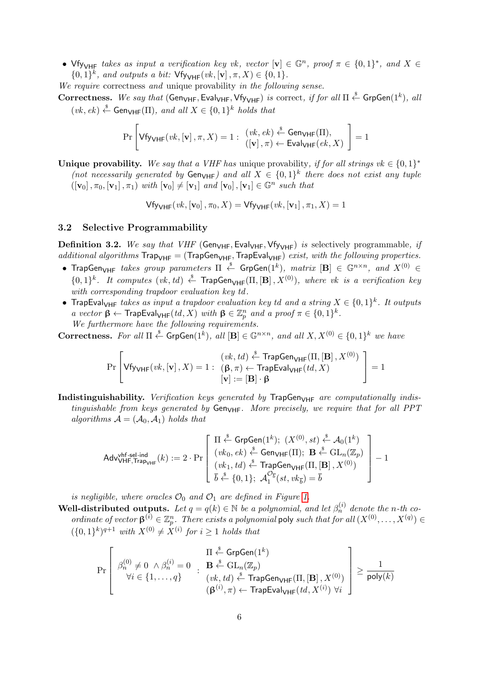• Vfy<sub>VHF</sub> takes as input a verification key vk, vector  $[\mathbf{v}] \in \mathbb{G}^n$ , proof  $\pi \in \{0,1\}^*$ , and  $X \in$  $\{0,1\}^k$ , and outputs a bit:  $\forall$ fy<sub>VHF</sub>(vk, [**v**],  $\pi$ ,  $X$ )  $\in$  {0, 1}.

We require correctness and unique provability in the following sense.

Correctness. We say that (Gen<sub>VHF</sub>, Eval<sub>VHF</sub>, Vfy<sub>VHF</sub>) is correct, if for all  $\Pi \stackrel{\$}{\leftarrow}$  GrpGen $(1^k)$ , all  $(vk, ek) \stackrel{\$}{\leftarrow}$  Gen<sub>VHF</sub>( $\Pi$ ), and all  $X \in \{0,1\}^k$  holds that

$$
\Pr\left[\mathsf{Vfy}_{\mathsf{VHF}}(\mathit{vk},[\mathbf{v}],\pi,X)=1:\begin{array}{c}(\mathit{vk},\mathit{ek})\overset{\hspace{0.1em}\mathsf{\scriptscriptstyle\$}}{\leftarrow}\mathsf{Gen}_{\mathsf{VHF}}(\Pi),\\([\mathbf{v}],\pi)\leftarrow\mathsf{Eval}_{\mathsf{VHF}}(\mathit{ek},X)\end{array}\right]=1
$$

Unique provability. We say that a VHF has unique provability, if for all strings  $vk \in \{0,1\}^*$ (not necessarily generated by  $Gen_{VHF}$ ) and all  $X \in \{0,1\}^k$  there does not exist any tuple  $([\mathbf{v}_0], \pi_0, [\mathbf{v}_1], \pi_1)$  with  $[\mathbf{v}_0] \neq [\mathbf{v}_1]$  and  $[\mathbf{v}_0], [\mathbf{v}_1] \in \mathbb{G}^n$  such that

 $Vf_{\text{VHF}}(vk, [\mathbf{v}_0], \pi_0, X) = Vf_{\text{VVHF}}(vk, [\mathbf{v}_1], \pi_1, X) = 1$ 

#### 3.2 Selective Programmability

<span id="page-5-0"></span>**Definition 3.2.** We say that VHF (Gen<sub>VHF</sub>, Eval<sub>VHF</sub>, Vfy<sub>VHF</sub>) is selectively programmable, if additional algorithms  $\text{TrapGen}_{\text{VHF}}$ ,  $\text{TrapEval}_{\text{VHF}})$  exist, with the following properties.

- TrapGen<sub>VHF</sub> takes group parameters  $\Pi$   $\stackrel{\hspace{0.1em}\mathsf{\scriptscriptstyle\$}}{=}$  GrpGen $(1^k),$   $matrix$   $[\mathbf{B}]$   $\in$   $\mathbb{G}^{n\times n},$  and  $X^{(0)}$   $\in$  $\{0,1\}^k$ . It computes  $(vk, td) \stackrel{\$}{\leftarrow}$  TrapGen<sub>VHF</sub>( $\Pi$ ,  $[\mathbf{B}]$ ,  $X^{(0)}$ ), where vk is a verification key with corresponding trapdoor evaluation key td .
- TrapEval<sub>VHF</sub> takes as input a trapdoor evaluation key td and a string  $X \in \{0,1\}^k$ . It outputs a vector  $\beta \leftarrow$  TrapEval<sub>VHF</sub> $(td, X)$  with  $\beta \in \mathbb{Z}_p^n$  and a proof  $\pi \in \{0,1\}^k$ . We furthermore have the following requirements.

**Correctness.** For all  $\Pi \stackrel{\$}{\leftarrow}$  GrpGen $(1^k)$ , all  $[\mathbf{B}] \in \mathbb{G}^{n \times n}$ , and all  $X, X^{(0)} \in \{0, 1\}^k$  we have

$$
\Pr\left[\mathsf{Vfy}_{\mathsf{VHF}}(\mathit{vk},[\mathbf{v}]\,,X)=1:\begin{array}{c}(\mathit{vk},\mathit{td})\overset{\hspace{0.1em}\mathsf{\scriptscriptstyle\$}}{\leftarrow}\mathsf{TrapGen}_{\mathsf{VHF}}(\Pi,[\mathbf{B}]\,,X^{(0)})\\\left(\mathbf{\beta},\pi\right)\leftarrow\mathsf{TrapEval}_{\mathsf{VHF}}(\mathit{td},X)\\\left[\mathbf{v}\right]:=\left[\mathbf{B}\right]\cdot\boldsymbol{\beta}\end{array}\right]=1
$$

Indistinguishability. Verification keys generated by  $\text{TrapGen}_{\text{VHF}}$  are computationally indistinguishable from keys generated by  $Gen_{VHF}$ . More precisely, we require that for all PPT algorithms  $A = (A_0, A_1)$  holds that

$$
\mathsf{Adv}^{\mathsf{vhf}\text{-sel-ind}}_{\mathsf{VHF},\mathsf{Trap}_\mathsf{VHF}}(k) := 2 \cdot \Pr\left[\begin{array}{c} \Pi \stackrel{\$}{\leftarrow} \mathsf{GrpGen}(1^k); \ (X^{(0)}, st) \stackrel{\$}{\leftarrow} \mathcal{A}_0(1^k) \\ (vk_0,\, ek) \stackrel{\$}{\leftarrow} \mathsf{Gen}_\mathsf{VHF}(\Pi); \ \mathbf{B} \stackrel{\$}{\leftarrow} \mathrm{GL}_n(\mathbb{Z}_p) \\ (vk_1,\, td) \stackrel{\$}{\leftarrow} \mathsf{TrapGen}_\mathsf{VHF}(\Pi,[\mathbf{B}],X^{(0)}) \\ \bar{b} \stackrel{\$}{\leftarrow} \{0,1\}; \ \mathcal{A}_1^{\mathcal{O}_{\overline{b}}}(st,vk_{\overline{b}}) = \bar{b} \end{array}\right] - 1
$$

is negligible, where oracles  $\mathcal{O}_0$  and  $\mathcal{O}_1$  are defined in Figure [1.](#page-6-0)

**Well-distributed outputs.** Let  $q = q(k) \in \mathbb{N}$  be a polynomial, and let  $\beta_n^{(i)}$  denote the n-th coordinate of vector  $\beta^{(i)} \in \mathbb{Z}_p^n$ . There exists a polynomial poly such that for all  $(X^{(0)}, \ldots, X^{(q)}) \in$  $({0, 1}^k)^{q+1}$  with  $X^{(0)} \neq X^{(i)}$  for  $i \geq 1$  holds that

$$
\Pr\left[\begin{array}{c} \beta_n^{(0)}\neq 0 \; \wedge \beta_n^{(i)}=0 \; \; : \; \; \mathbf{B} \stackrel{\$} \leftarrow \mathrm{GrpGen}(1^k) \\ \forall i \in \{1,\ldots,q\} \end{array} \right] \; : \; \begin{array}{c} \Pi \stackrel{\$} \leftarrow \mathrm{GrpGen}(1^k) \\ \left(\mathbf{B} \stackrel{\$} \leftarrow \mathrm{GL}_n(\mathbb{Z}_p) \; \right) \\ \left(\mathbf{B}^{(i)}, \pi\right) \stackrel{\$} \leftarrow \mathrm{TrapGen}_{\mathsf{VHF}}(\Pi, [\mathbf{B}] \, , X^{(0)}) \end{array} \right] \; \geq \; \frac{1}{\mathrm{poly}(k)}
$$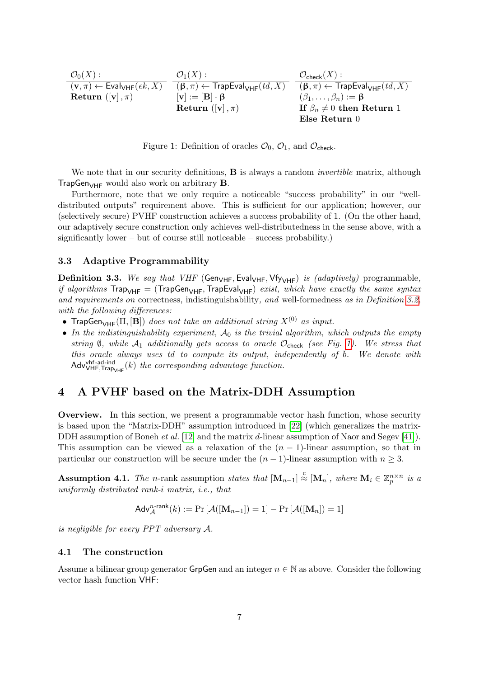| $\mathcal{O}_0(X):$                                                | $\mathcal{O}_1(X):$                                         | $\mathcal{O}_{\mathsf{check}}(X):$                          |
|--------------------------------------------------------------------|-------------------------------------------------------------|-------------------------------------------------------------|
| $(\mathbf{v}, \pi) \leftarrow \mathsf{Eval}_{\mathsf{VHF}}(ek, X)$ | $(\beta, \pi) \leftarrow$ TrapEval <sub>VHF</sub> $(td, X)$ | $(\beta, \pi) \leftarrow$ TrapEval <sub>VHF</sub> $(td, X)$ |
| Return $([\mathbf{v}], \pi)$                                       | $[\mathbf{v}] := [\mathbf{B}] \cdot \mathbf{\beta}$         | $(\beta_1,\ldots,\beta_n):=\beta$                           |
|                                                                    | Return $([v], \pi)$                                         | If $\beta_n \neq 0$ then Return 1                           |
|                                                                    |                                                             | $E$ lse Return 0                                            |

<span id="page-6-0"></span>Figure 1: Definition of oracles  $\mathcal{O}_0$ ,  $\mathcal{O}_1$ , and  $\mathcal{O}_{\text{check}}$ .

We note that in our security definitions, **B** is always a random *invertible* matrix, although TrapGen<sub>VHF</sub> would also work on arbitrary  $B$ .

Furthermore, note that we only require a noticeable "success probability" in our "welldistributed outputs" requirement above. This is sufficient for our application; however, our (selectively secure) PVHF construction achieves a success probability of 1. (On the other hand, our adaptively secure construction only achieves well-distributedness in the sense above, with a significantly lower – but of course still noticeable – success probability.)

#### 3.3 Adaptive Programmability

<span id="page-6-1"></span>**Definition 3.3.** We say that VHF (Gen<sub>VHF</sub>, Eval<sub>VHF</sub>, Vfy<sub>VHF</sub>) is (adaptively) programmable, if algorithms  $\text{Trap}_{\text{VHF}} = (\text{TrapGen}_{\text{VHF}},\text{TrapEval}_{\text{VHF}})$  exist, which have exactly the same syntax and requirements on correctness, indistinguishability, and well-formedness as in Definition [3.2,](#page-5-0) with the following differences:

- TrapGen<sub>VHF</sub>( $\Pi$ ,  $[B]$ ) does not take an additional string  $X^{(0)}$  as input.
- In the indistinguishability experiment,  $A_0$  is the trivial algorithm, which outputs the empty string  $\emptyset$ , while  $\mathcal{A}_1$  additionally gets access to oracle  $\mathcal{O}_{\text{check}}$  (see Fig. [1\)](#page-6-0). We stress that this oracle always uses td to compute its output, independently of  $\bar{b}$ . We denote with  $\mathsf{Adv}\{\mathsf{VHF},\mathsf{Trap}_{\mathsf{VHF}}(k)\}$  the corresponding advantage function.

### 4 A PVHF based on the Matrix-DDH Assumption

Overview. In this section, we present a programmable vector hash function, whose security is based upon the "Matrix-DDH" assumption introduced in [\[22\]](#page-20-6) (which generalizes the matrix-DDH assumption of Boneh *et al.* [\[12\]](#page-20-10) and the matrix *d*-linear assumption of Naor and Segev [\[41\]](#page-21-15)). This assumption can be viewed as a relaxation of the  $(n - 1)$ -linear assumption, so that in particular our construction will be secure under the  $(n - 1)$ -linear assumption with  $n \geq 3$ .

Assumption 4.1. The n-rank assumption states that  $[M_{n-1}] \stackrel{c}{\approx} [M_n]$ , where  $M_i \in \mathbb{Z}_p^{n \times n}$  is a uniformly distributed rank-i matrix, i.e., that

$$
\mathsf{Adv}_{\mathcal{A}}^{n\text{-rank}}(k) := \Pr\left[\mathcal{A}([\mathbf{M}_{n-1}]) = 1\right] - \Pr\left[\mathcal{A}([\mathbf{M}_{n}]) = 1\right]
$$

is negligible for every PPT adversary A.

#### 4.1 The construction

Assume a bilinear group generator GrpGen and an integer  $n \in \mathbb{N}$  as above. Consider the following vector hash function VHF: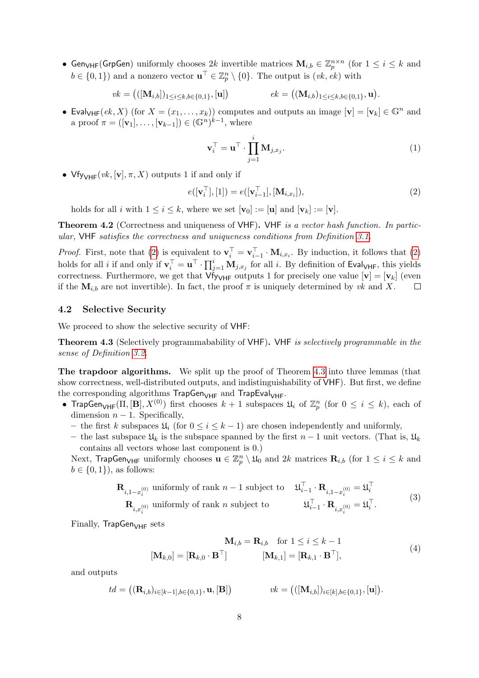• Gen<sub>VHF</sub>(GrpGen) uniformly chooses 2k invertible matrices  $M_{i,b} \in \mathbb{Z}_p^{n \times n}$  (for  $1 \leq i \leq k$  and  $b \in \{0,1\}$  and a nonzero vector  $\mathbf{u}^{\top} \in \mathbb{Z}_p^n \setminus \{0\}$ . The output is  $(vk, ek)$  with

$$
vk = (([\mathbf{M}_{i,b}])_{1 \leq i \leq k, b \in \{0,1\}}, [\mathbf{u}]) \qquad \qquad ek = ((\mathbf{M}_{i,b})_{1 \leq i \leq k, b \in \{0,1\}}, \mathbf{u}).
$$

• Eval<sub>VHF</sub>(ek, X) (for  $X = (x_1, \ldots, x_k)$ ) computes and outputs an image  $[\mathbf{v}] = [\mathbf{v}_k] \in \mathbb{G}^n$  and a proof  $\pi = ([\mathbf{v}_1], \ldots, [\mathbf{v}_{k-1}]) \in (\mathbb{G}^n)^{k-1}$ , where

<span id="page-7-2"></span><span id="page-7-0"></span>
$$
\mathbf{v}_i^{\top} = \mathbf{u}^{\top} \cdot \prod_{j=1}^i \mathbf{M}_{j,x_j}.
$$
 (1)

•  $Vf_{V\vee HF}(vk, [v], \pi, X)$  outputs 1 if and only if

$$
e([\mathbf{v}_i^\top], [1]) = e([\mathbf{v}_{i-1}^\top], [\mathbf{M}_{i,x_i}]), \tag{2}
$$

holds for all i with  $1 \le i \le k$ , where we set  $[\mathbf{v}_0] := [\mathbf{u}]$  and  $[\mathbf{v}_k] := [\mathbf{v}]$ .

Theorem 4.2 (Correctness and uniqueness of VHF). VHF is a vector hash function. In particular, VHF satisfies the correctness and uniqueness conditions from Definition [3.1.](#page-4-0)

*Proof.* First, note that [\(2\)](#page-7-0) is equivalent to  $\mathbf{v}_i^{\top} = \mathbf{v}_{i-1}^{\top} \cdot \mathbf{M}_{i,x_i}$ . By induction, it follows that (2) holds for all *i* if and only if  $\mathbf{v}_i^{\top} = \mathbf{u}^{\top} \cdot \prod_{j=1}^i \mathbf{M}_{j,x_j}$  for all *i*. By definition of Eval<sub>VHF</sub>, this yields correctness. Furthermore, we get that  $Vf_{VHF}$  outputs 1 for precisely one value  $[v] = [v_k]$  (even if the  $M_{i,b}$  are not invertible). In fact, the proof  $\pi$  is uniquely determined by vk and X.  $\Box$ 

#### <span id="page-7-5"></span>4.2 Selective Security

We proceed to show the selective security of VHF:

<span id="page-7-1"></span>Theorem 4.3 (Selectively programmabability of VHF). VHF is selectively programmable in the sense of Definition [3.2.](#page-5-0)

The trapdoor algorithms. We split up the proof of Theorem [4.3](#page-7-1) into three lemmas (that show correctness, well-distributed outputs, and indistinguishability of VHF). But first, we define the corresponding algorithms  $\text{TrapGen}_{\text{VHF}}$  and  $\text{TrapEval}_{\text{VHF}}$ .

- TrapGen<sub>VHF</sub>( $\Pi$ ,  $[{\bf B}], X^{(0)}$ ) first chooses  $k+1$  subspaces  $\mathfrak{U}_i$  of  $\mathbb{Z}_p^n$  (for  $0 \le i \le k$ ), each of dimension  $n - 1$ . Specifically,
	- the first k subspaces  $\mathfrak{U}_i$  (for  $0 \leq i \leq k-1$ ) are chosen independently and uniformly,
	- the last subspace  $\mathfrak{U}_k$  is the subspace spanned by the first  $n-1$  unit vectors. (That is,  $\mathfrak{U}_k$ contains all vectors whose last component is 0.)

Next, TrapGen<sub>VHF</sub> uniformly chooses  $\mathbf{u} \in \mathbb{Z}_p^n \setminus \mathfrak{U}_0$  and  $2k$  matrices  $\mathbf{R}_{i,b}$  (for  $1 \leq i \leq k$  and  $b \in \{0, 1\}$ , as follows:

<span id="page-7-3"></span>
$$
\begin{aligned}\n\mathbf{R}_{i,1-x_i^{(0)}} & \text{uniformly of rank } n-1 \text{ subject to} & \mathcal{U}_{i-1}^{\top} \cdot \mathbf{R}_{i,1-x_i^{(0)}} &= \mathcal{U}_i^{\top} \\
\mathbf{R}_{i,x_i^{(0)}} & \text{uniformly of rank } n \text{ subject to} & \mathcal{U}_{i-1}^{\top} \cdot \mathbf{R}_{i,x_i^{(0)}} &= \mathcal{U}_i^{\top}.\n\end{aligned}\n\tag{3}
$$

<span id="page-7-4"></span>Finally,  $\text{TrapGen}_{\text{VHF}}$  sets

$$
\mathbf{M}_{i,b} = \mathbf{R}_{i,b} \quad \text{for } 1 \le i \le k - 1
$$
  

$$
[\mathbf{M}_{k,0}] = [\mathbf{R}_{k,0} \cdot \mathbf{B}^\top] \qquad [\mathbf{M}_{k,1}] = [\mathbf{R}_{k,1} \cdot \mathbf{B}^\top],
$$
 (4)

and outputs

$$
td = ((\mathbf{R}_{i,b})_{i \in [k-1],b \in \{0,1\}}, \mathbf{u}, [\mathbf{B}]) \qquad \qquad vk = (([\mathbf{M}_{i,b}])_{i \in [k],b \in \{0,1\}}, [\mathbf{u}]).
$$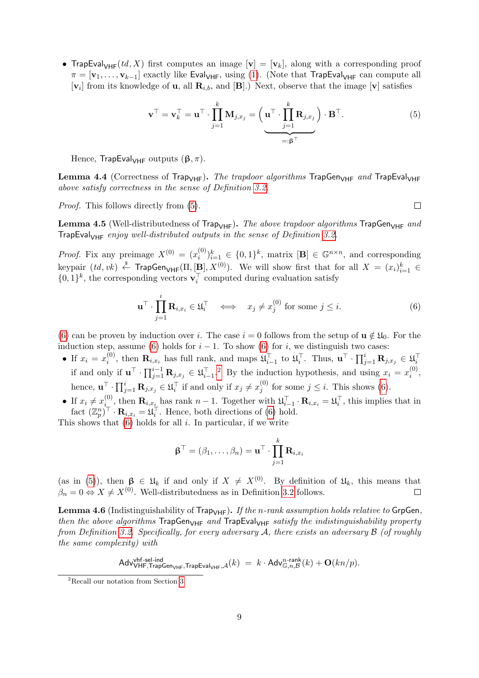• TrapEval<sub>VHF</sub>(td, X) first computes an image  $[\mathbf{v}] = [\mathbf{v}_k]$ , along with a corresponding proof  $\pi = [\mathbf{v}_1,\ldots,\mathbf{v}_{k-1}]$  exactly like Eval<sub>VHF</sub>, using [\(1\)](#page-7-2). (Note that TrapEval<sub>VHF</sub> can compute all  $[\mathbf{v}_i]$  from its knowledge of **u**, all  $\mathbf{R}_{i,b}$ , and  $[\mathbf{B}]$ .) Next, observe that the image  $[\mathbf{v}]$  satisfies

$$
\mathbf{v}^{\top} = \mathbf{v}_k^{\top} = \mathbf{u}^{\top} \cdot \prod_{j=1}^k \mathbf{M}_{j,x_j} = \left( \mathbf{u}^{\top} \cdot \prod_{j=1}^k \mathbf{R}_{j,x_j} \right) \cdot \mathbf{B}^{\top}.
$$
 (5)

Hence, TrapEval<sub>VHF</sub> outputs  $(\beta, \pi)$ .

Lemma 4.4 (Correctness of Trap<sub>VHF</sub>). The trapdoor algorithms TrapGen<sub>VHF</sub> and TrapEval<sub>VHF</sub> above satisfy correctness in the sense of Definition [3.2.](#page-5-0)

Proof. This follows directly from [\(5\)](#page-8-0).

<span id="page-8-0"></span> $\Box$ 

**Lemma 4.5** (Well-distributedness of Trap<sub>VHF</sub>). The above trapdoor algorithms TrapGen<sub>VHF</sub> and TrapEval<sub>VHF</sub> enjoy well-distributed outputs in the sense of Definition [3.2.](#page-5-0)

*Proof.* Fix any preimage  $X^{(0)} = (x_i^{(0)})$  $\binom{[0]}{i}_{i=1}^k \in \{0,1\}^k$ , matrix  $[\mathbf{B}] \in \mathbb{G}^{n \times n}$ , and corresponding keypair  $(td, vk) \xleftarrow{\$}$  TrapGen<sub>VHF</sub>( $\Pi, [\underline{\mathbf{B}}], X^{(0)}$ ). We will show first that for all  $X = (x_i)_{i=1}^k \in$  $\{0,1\}^k$ , the corresponding vectors  $\mathbf{v}_i^{\top}$  computed during evaluation satisfy

<span id="page-8-1"></span>
$$
\mathbf{u}^{\top} \cdot \prod_{j=1}^{i} \mathbf{R}_{i,x_i} \in \mathfrak{U}_i^{\top} \iff x_j \neq x_j^{(0)} \text{ for some } j \leq i. \tag{6}
$$

[\(6\)](#page-8-1) can be proven by induction over i. The case  $i = 0$  follows from the setup of  $\mathbf{u} \notin \mathfrak{U}_0$ . For the induction step, assume [\(6\)](#page-8-1) holds for  $i - 1$ . To show (6) for i, we distinguish two cases:

- If  $x_i = x_i^{(0)}$  $\mathbf{R}_{i}^{(0)}$ , then  $\mathbf{R}_{i,x_i}$  has full rank, and maps  $\mathfrak{U}_{i-1}^{\top}$  to  $\mathfrak{U}_{i}^{\top}$ . Thus,  $\mathbf{u}^{\top} \cdot \prod_{j=1}^{i} \mathbf{R}_{j,x_j} \in \mathfrak{U}_{i}^{\top}$ if and only if  $\mathbf{u}^{\top} \cdot \prod_{j=1}^{i-1} \mathbf{R}_{j,x_j} \in \mathfrak{U}_{i-1}^{\top}$ . By the induction hypothesis, and using  $x_i = x_i^{(0)}$  $\binom{0}{i}$ hence,  $\mathbf{u}^{\top} \cdot \prod_{j=1}^{i} \mathbf{R}_{j,x_j} \in \mathfrak{U}_i^{\top}$  if and only if  $x_j \neq x_j^{(0)}$  $j_j^{(0)}$  for some  $j \leq i$ . This shows [\(6\)](#page-8-1).
- If  $x_i \neq x_i^{(0)}$  $\mathbf{R}_{i,x_i}$  has rank  $n-1$ . Together with  $\mathfrak{U}_{i-1}^{\top} \cdot \mathbf{R}_{i,x_i} = \mathfrak{U}_i^{\top}$ , this implies that in fact  $(\mathbb{Z}_p^n)^\top \cdot \mathbf{R}_{i,x_i} = \mathfrak{U}_i^\top$ . Hence, both directions of [\(6\)](#page-8-1) hold.

This shows that  $(6)$  holds for all i. In particular, if we write

$$
\boldsymbol{\beta}^{\top} = (\beta_1, \dots, \beta_n) = \mathbf{u}^{\top} \cdot \prod_{j=1}^k \mathbf{R}_{i,x_i}
$$

(as in [\(5\)](#page-8-0)), then  $\beta \in \mathfrak{U}_k$  if and only if  $X \neq X^{(0)}$ . By definition of  $\mathfrak{U}_k$ , this means that  $\beta_n = 0 \Leftrightarrow X \neq X^{(0)}$ . Well-distributedness as in Definition [3.2](#page-5-0) follows.  $\Box$ 

<span id="page-8-3"></span>**Lemma 4.6** (Indistinguishability of Trap<sub>VHF</sub>). If the n-rank assumption holds relative to GrpGen, then the above algorithms  $T^{apGen}$  and  $T^{apEval}$   $_{VHF}$  satisfy the indistinguishability property from Definition [3.2.](#page-5-0) Specifically, for every adversary A, there exists an adversary B (of roughly the same complexity) with

$$
\mathsf{Adv}_{\mathsf{VHF},\mathsf{TrapGen}_{\mathsf{VHF}},\mathsf{TrapEval}_{\mathsf{VHF}},\mathcal{A}}(k) = k \cdot \mathsf{Adv}_{\mathbb{G},n,\mathcal{B}}^{n\text{-rank}}(k) + \mathbf{O}(kn/p).
$$

<span id="page-8-2"></span><sup>2</sup>Recall our notation from Section [3.](#page-4-1)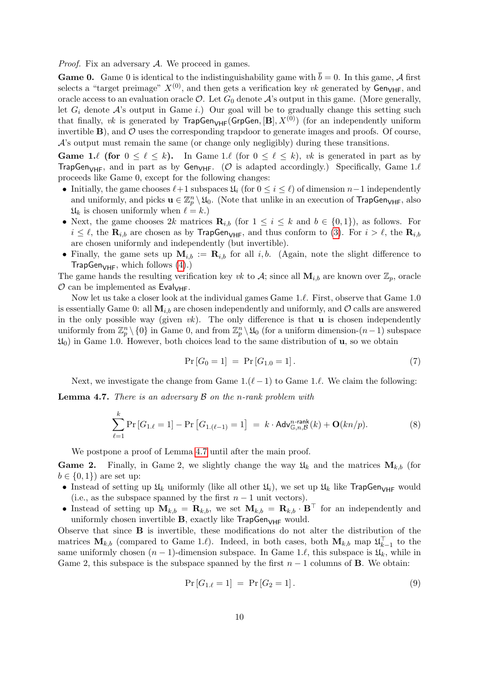*Proof.* Fix an adversary  $A$ . We proceed in games.

**Game 0.** Game 0 is identical to the indistinguishability game with  $\bar{b} = 0$ . In this game, A first selects a "target preimage"  $X^{(0)}$ , and then gets a verification key vk generated by Gen<sub>VHF</sub>, and oracle access to an evaluation oracle  $\mathcal{O}$ . Let  $G_0$  denote  $\mathcal{A}$ 's output in this game. (More generally, let  $G_i$  denote A's output in Game i.) Our goal will be to gradually change this setting such that finally, vk is generated by  $\mathsf{TrapGen}_{\mathsf{VHF}}(\mathsf{GrpGen}, [\mathbf{B}], X^{(0)})$  (for an independently uniform invertible  $\bf{B}$ ), and  $\cal{O}$  uses the corresponding trapdoor to generate images and proofs. Of course, A's output must remain the same (or change only negligibly) during these transitions.

**Game 1.** (for  $0 \leq \ell \leq k$ ). In Game 1. (for  $0 \leq \ell \leq k$ ), vk is generated in part as by TrapGen<sub>VHF</sub>, and in part as by Gen<sub>VHF</sub>. (O is adapted accordingly.) Specifically, Game 1. $\ell$ proceeds like Game 0, except for the following changes:

- Initially, the game chooses  $\ell+1$  subspaces  $\mathfrak{U}_i$  (for  $0 \leq i \leq \ell$ ) of dimension  $n-1$  independently and uniformly, and picks  $\mathbf{u} \in \mathbb{Z}_p^n \setminus \mathfrak{U}_0$ . (Note that unlike in an execution of TrapGen<sub>VHF</sub>, also  $\mathfrak{U}_k$  is chosen uniformly when  $\ell = k$ .)
- Next, the game chooses 2k matrices  $\mathbf{R}_{i,b}$  (for  $1 \leq i \leq k$  and  $b \in \{0,1\}$ ), as follows. For  $i \leq \ell$ , the  $\mathbf{R}_{i,b}$  are chosen as by TrapGen<sub>VHF</sub>, and thus conform to [\(3\)](#page-7-3). For  $i > \ell$ , the  $\mathbf{R}_{i,b}$ are chosen uniformly and independently (but invertible).
- Finally, the game sets up  $M_{i,b} := \mathbf{R}_{i,b}$  for all i, b. (Again, note the slight difference to  $\mathsf{TrapGen}_{\mathsf{VHF}},$  which follows [\(4\)](#page-7-4).)

The game hands the resulting verification key vk to A; since all  $M_{i,b}$  are known over  $\mathbb{Z}_p$ , oracle  $\mathcal O$  can be implemented as Eval<sub>VHF</sub>.

Now let us take a closer look at the individual games Game  $1.\ell$ . First, observe that Game  $1.0$ is essentially Game 0: all  $M_{i,b}$  are chosen independently and uniformly, and  $\mathcal{O}$  calls are answered in the only possible way (given  $vk$ ). The only difference is that **u** is chosen independently uniformly from  $\mathbb{Z}_p^n \setminus \{0\}$  in Game 0, and from  $\mathbb{Z}_p^n \setminus \mathfrak{U}_0$  (for a uniform dimension- $(n-1)$  subspace  $\mathfrak{U}_0$  in Game 1.0. However, both choices lead to the same distribution of **u**, so we obtain

<span id="page-9-1"></span>
$$
Pr[G_0 = 1] = Pr[G_{1.0} = 1]. \tag{7}
$$

Next, we investigate the change from Game  $1.(\ell - 1)$  to Game 1. $\ell$ . We claim the following:

<span id="page-9-0"></span>**Lemma 4.7.** There is an adversary  $\beta$  on the n-rank problem with

<span id="page-9-3"></span>
$$
\sum_{\ell=1}^k \Pr\left[G_{1.\ell} = 1\right] - \Pr\left[G_{1.\ell-1} = 1\right] = k \cdot \mathsf{Adv}_{\mathbb{G},n,\mathcal{B}}^{n\text{-rank}}(k) + \mathbf{O}(kn/p). \tag{8}
$$

We postpone a proof of Lemma [4.7](#page-9-0) until after the main proof.

**Game 2.** Finally, in Game 2, we slightly change the way  $\mathfrak{U}_k$  and the matrices  $\mathbf{M}_{k,b}$  (for  $b \in \{0, 1\}$  are set up:

- Instead of setting up  $\mathfrak{U}_k$  uniformly (like all other  $\mathfrak{U}_i$ ), we set up  $\mathfrak{U}_k$  like TrapGen<sub>VHF</sub> would (i.e., as the subspace spanned by the first  $n-1$  unit vectors).
- Instead of setting up  $M_{k,b} = \mathbf{R}_{k,b}$ , we set  $\mathbf{M}_{k,b} = \mathbf{R}_{k,b} \cdot \mathbf{B}^{\top}$  for an independently and uniformly chosen invertible  $B$ , exactly like  $T$ rapGen<sub>VHF</sub> would.

Observe that since B is invertible, these modifications do not alter the distribution of the matrices  $\mathbf{M}_{k,b}$  (compared to Game 1. $\ell$ ). Indeed, in both cases, both  $\mathbf{M}_{k,b}$  map  $\mathfrak{U}_{k-1}^{\top}$  to the same uniformly chosen  $(n - 1)$ -dimension subspace. In Game 1. $\ell$ , this subspace is  $\mathfrak{U}_k$ , while in Game 2, this subspace is the subspace spanned by the first  $n-1$  columns of **B**. We obtain:

<span id="page-9-2"></span>
$$
Pr[G_{1.\ell} = 1] = Pr[G_2 = 1]. \tag{9}
$$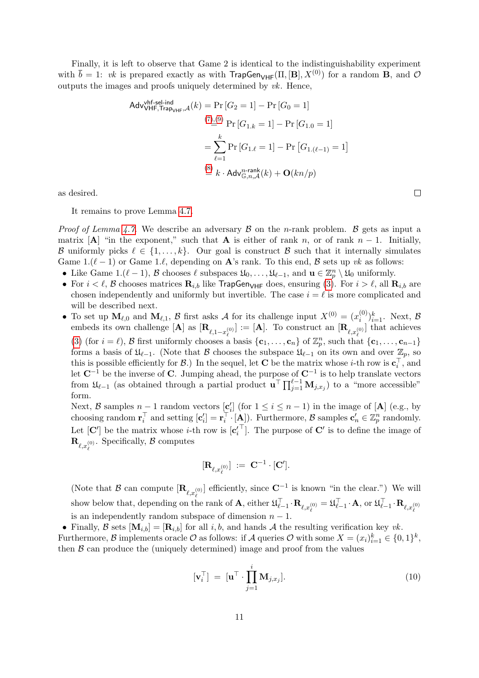Finally, it is left to observe that Game 2 is identical to the indistinguishability experiment with  $\bar{b} = 1$ : vk is prepared exactly as with  $\text{TrapGen}_{VHF}(\Pi, [\mathbf{B}], X^{(0)})$  for a random **B**, and  $\mathcal{O}$ outputs the images and proofs uniquely determined by  $vk$ . Hence,

Adv<sub>VHF, Trap<sub>VHF</sub>,  
\n
$$
(\mathcal{T})_{\text{G}}^{(0)} = \Pr\left[G_2 = 1\right] - \Pr\left[G_0 = 1\right]
$$
\n
$$
(\mathcal{T})_{\text{G}}^{(0)} = \Pr\left[G_{1,k} = 1\right] - \Pr\left[G_{1,0} = 1\right]
$$
\n
$$
= \sum_{\ell=1}^{k} \Pr\left[G_{1,\ell} = 1\right] - \Pr\left[G_{1,\ell-1} = 1\right]
$$
\n
$$
\stackrel{\text{(8)}}{=} k \cdot \text{Adv}_{\mathbb{G},n,\mathcal{A}}^{n\text{-rank}}(k) + \mathbf{O}(kn/p)
$$</sub>

as desired.

It remains to prove Lemma [4.7.](#page-9-0)

*Proof of Lemma [4.7.](#page-9-0)* We describe an adversary  $\beta$  on the *n*-rank problem.  $\beta$  gets as input a matrix  $[A]$  "in the exponent," such that A is either of rank n, or of rank n − 1. Initially, B uniformly picks  $\ell \in \{1, \ldots, k\}$ . Our goal is construct B such that it internally simulates Game 1. $(\ell - 1)$  or Game 1. $\ell$ , depending on A's rank. To this end, B sets up vk as follows:

- Like Game 1. $(\ell 1)$ , B chooses  $\ell$  subspaces  $\mathfrak{U}_0, \ldots, \mathfrak{U}_{\ell-1}$ , and  $\mathbf{u} \in \mathbb{Z}_p^n \setminus \mathfrak{U}_0$  uniformly.
- For  $i < \ell$ , B chooses matrices  $\mathbf{R}_{i,b}$  like TrapGen<sub>VHF</sub> does, ensuring [\(3\)](#page-7-3). For  $i > \ell$ , all  $\mathbf{R}_{i,b}$  are chosen independently and uniformly but invertible. The case  $i = \ell$  is more complicated and will be described next.
- To set up  $\mathbf{M}_{\ell,0}$  and  $\mathbf{M}_{\ell,1}$ , B first asks A for its challenge input  $X^{(0)} = (x_i^{(0)})$  $\binom{0}{i}$ <sub> $i=1$ </sub>. Next,  $\beta$ embeds its own challenge  $[\mathbf{A}]$  as  $[\mathbf{R}_{\ell,1-x_{\ell}^{(0)}}] := [\mathbf{A}]$ . To construct an  $[\mathbf{R}_{\ell,x_{\ell}^{(0)}}]$  that achieves [\(3\)](#page-7-3) (for  $i = \ell$ ), B first uniformly chooses a basis  $\{c_1, \ldots, c_n\}$  of  $\mathbb{Z}_p^n$ , such that  $\{c_1, \ldots, c_{n-1}\}$ forms a basis of  $\mathfrak{U}_{\ell-1}$ . (Note that B chooses the subspace  $\mathfrak{U}_{\ell-1}$  on its own and over  $\mathbb{Z}_p$ , so this is possible efficiently for  $\mathcal{B}$ .) In the sequel, let **C** be the matrix whose *i*-th row is  $\mathbf{c}_i^{\top}$ , and let  $\mathbb{C}^{-1}$  be the inverse of  $\mathbb{C}$ . Jumping ahead, the purpose of  $\mathbb{C}^{-1}$  is to help translate vectors from  $\mathfrak{U}_{\ell-1}$  (as obtained through a partial product  $\mathbf{u}^{\top} \prod_{j=1}^{\ell-1} \mathbf{M}_{j,x_j}$ ) to a "more accessible" form.

Next, B samples  $n-1$  random vectors  $[\underline{\mathbf{c}}_i']$  (for  $1 \le i \le n-1$ ) in the image of [A] (e.g., by choosing random  $\mathbf{r}_i^{\top}$  and setting  $[\mathbf{c}_i'] = \mathbf{r}_i^{\top} \cdot [\mathbf{A}])$ . Furthermore,  $\mathcal{B}$  samples  $\mathbf{c}'_n \in \mathbb{Z}_p^n$  randomly. Let  $[\mathbf{C}']$  be the matrix whose *i*-th row is  $[\mathbf{c}'_i]$ <sup> $\top$ </sup>. The purpose of **C'** is to define the image of  $\mathbf{R}_{\ell,x_{\ell}^{(0)}}$ . Specifically,  $\beta$  computes

$$
[{\bf R}_{\ell,x_\ell^{(0)}}] \ := \ {\bf C}^{-1}\cdot [{\bf C}'].
$$

(Note that B can compute  $[\mathbf{R}_{\ell,x_{\ell}^{(0)}}]$  efficiently, since  $\mathbf{C}^{-1}$  is known "in the clear.") We will show below that, depending on the rank of  $\mathbf{A}$ , either  $\mathfrak{U}_{\ell-1}^{\top} \cdot \mathbf{R}_{\ell,x_{\ell}^{(0)}} = \mathfrak{U}_{\ell-1}^{\top} \cdot \mathbf{A}$ , or  $\mathfrak{U}_{\ell-1}^{\top} \cdot \mathbf{R}_{\ell,x_{\ell}^{(0)}}$ is an independently random subspace of dimension  $n - 1$ .

• Finally, B sets  $[\mathbf{M}_{i,b}] = [\mathbf{R}_{i,b}]$  for all i, b, and hands A the resulting verification key vk.

Furthermore,  $\mathcal{B}$  implements oracle  $\mathcal{O}$  as follows: if  $\mathcal{A}$  queries  $\mathcal{O}$  with some  $X = (x_i)_{i=1}^k \in \{0,1\}^k$ , then  $\beta$  can produce the (uniquely determined) image and proof from the values

<span id="page-10-0"></span>
$$
[\mathbf{v}_i^{\top}] = [\mathbf{u}^{\top} \cdot \prod_{j=1}^i \mathbf{M}_{j,x_j}].
$$
 (10)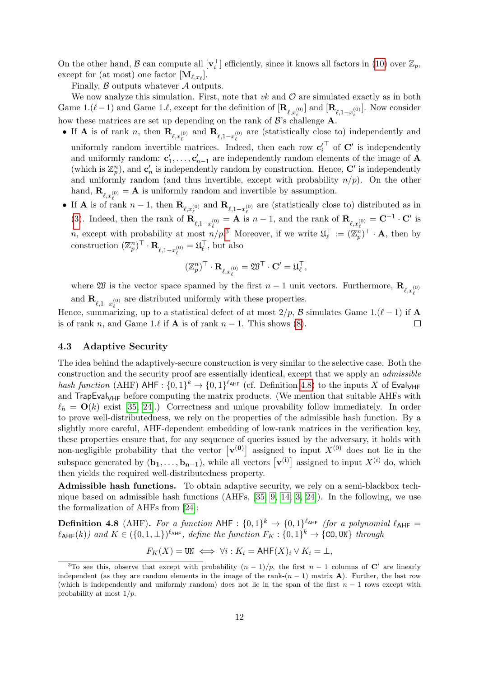On the other hand,  $\mathcal B$  can compute all  $[\mathbf{v}_i^\top]$  efficiently, since it knows all factors in [\(10\)](#page-10-0) over  $\mathbb{Z}_p$ , except for (at most) one factor  $[\mathbf{M}_{\ell,x_{\ell}}]$ .

Finally,  $\beta$  outputs whatever  $\mathcal A$  outputs.

We now analyze this simulation. First, note that  $vk$  and  $O$  are simulated exactly as in both Game 1. $(\ell-1)$  and Game 1. $\ell$ , except for the definition of  $[\mathbf{R}_{\ell,x_i^{(0)}}]$  and  $[\mathbf{R}_{\ell,1-x_i^{(0)}}]$ . Now consider how these matrices are set up depending on the rank of  $\mathcal{B}'$ 's challenge **A**.

- If **A** is of rank n, then  $\mathbf{R}_{\ell,x_{\ell}^{(0)}}$  and  $\mathbf{R}_{\ell,1-x_{\ell}^{(0)}}$  are (statistically close to) independently and uniformly random invertible matrices. Indeed, then each row  $\mathbf{c}'_i$  $\top$  of  $\mathbb{C}'$  is independently and uniformly random:  $\mathbf{c}'_1, \ldots, \mathbf{c}'_{n-1}$  are independently random elements of the image of **A** (which is  $\mathbb{Z}_p^n$ ), and  $\mathbf{c}'_n$  is independently random by construction. Hence,  $\mathbf{C}'$  is independently and uniformly random (and thus invertible, except with probability  $n/p$ ). On the other hand,  $\mathbf{R}_{\ell,x_{\ell}^{(0)}} = \mathbf{A}$  is uniformly random and invertible by assumption.
- If **A** is of rank  $n-1$ , then  $\mathbf{R}_{\ell,x_{\ell}^{(0)}}$  and  $\mathbf{R}_{\ell,1-x_{\ell}^{(0)}}$  are (statistically close to) distributed as in [\(3\)](#page-7-3). Indeed, then the rank of  $\mathbf{R}_{\ell,1-x_{\ell}^{(0)}} = \mathbf{A}$  is  $n-1$ , and the rank of  $\mathbf{R}_{\ell,x_{\ell}^{(0)}} = \mathbf{C}^{-1} \cdot \mathbf{C}'$  is n, except with probability at most  $n/p^3$  $n/p^3$ . Moreover, if we write  $\mathfrak{U}_{\ell}^{\top} := (\mathbb{Z}_p^n)^{\top} \cdot \mathbf{A}$ , then by construction  $(\mathbb{Z}_p^n)^\top \cdot \mathbf{R}_{\ell,1-x_\ell^{(0)}} = \mathfrak{U}_\ell^\top$ , but also

$$
(\mathbb{Z}_p^n)^\top\cdot\mathbf{R}_{\ell,x_\ell^{(0)}}=\mathfrak{W}^\top\cdot\mathbf{C}'=\mathfrak{U}_\ell^\top,
$$

where  $\mathfrak W$  is the vector space spanned by the first  $n-1$  unit vectors. Furthermore,  $\mathbf{R}_{\rho,r^{(0)}}$ ` and  $\mathbf{R}_{\ell,1-x_{\ell}^{(0)}}$  are distributed uniformly with these properties.

Hence, summarizing, up to a statistical defect of at most  $2/p$ , B simulates Game 1.( $\ell - 1$ ) if A is of rank n, and Game 1. $\ell$  if **A** is of rank  $n - 1$ . This shows [\(8\)](#page-9-3).  $\Box$ 

#### 4.3 Adaptive Security

The idea behind the adaptively-secure construction is very similar to the selective case. Both the construction and the security proof are essentially identical, except that we apply an admissible hash function (AHF) AHF :  $\{0,1\}^k \to \{0,1\}^{\ell_{\text{AHF}}}$  (cf. Definition [4.8\)](#page-11-1) to the inputs X of Eval<sub>VHF</sub> and  $T$ rapEval<sub>VHF</sub> before computing the matrix products. (We mention that suitable AHFs with  $\ell_h = \mathbf{O}(k)$  exist [\[35,](#page-21-5) [24\]](#page-20-11).) Correctness and unique provability follow immediately. In order to prove well-distributedness, we rely on the properties of the admissible hash function. By a slightly more careful, AHF-dependent embedding of low-rank matrices in the verification key, these properties ensure that, for any sequence of queries issued by the adversary, it holds with non-negligible probability that the vector  $\lceil v^{(0)} \rceil$  assigned to input  $X^{(0)}$  does not lie in the subspace generated by  $(\mathbf{b_1}, \ldots, \mathbf{b_{n-1}})$ , while all vectors  $[\mathbf{v}^{(i)}]$  assigned to input  $X^{(i)}$  do, which then yields the required well-distributedness property.

Admissible hash functions. To obtain adaptive security, we rely on a semi-blackbox technique based on admissible hash functions (AHFs, [\[35,](#page-21-5) [9,](#page-19-8) [14,](#page-20-12) [3,](#page-19-9) [24\]](#page-20-11)). In the following, we use the formalization of AHFs from [\[24\]](#page-20-11):

<span id="page-11-1"></span>**Definition 4.8** (AHF). For a function AHF :  $\{0,1\}^k \rightarrow \{0,1\}^{\ell_{\text{AHF}}}$  (for a polynomial  $\ell_{\text{AHF}} =$  $\ell_{\mathsf{AHF}}(k))$  and  $K \in (\{0,1,\perp\})^{\ell_{\mathsf{AHF}}},$  define the function  $F_K: \{0,1\}^k \to \{\mathtt{CO},\mathtt{UN}\}$  through

$$
F_K(X) = \text{UN} \iff \forall i: K_i = \text{AHF}(X)_i \vee K_i = \bot,
$$

<span id="page-11-0"></span><sup>&</sup>lt;sup>3</sup>To see this, observe that except with probability  $(n-1)/p$ , the first  $n-1$  columns of C' are linearly independent (as they are random elements in the image of the rank- $(n - 1)$  matrix **A**). Further, the last row (which is independently and uniformly random) does not lie in the span of the first  $n - 1$  rows except with probability at most  $1/p$ .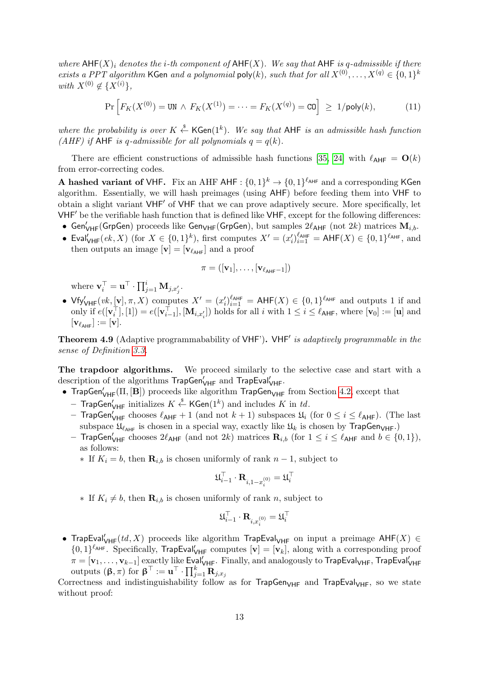where  $\mathsf{AHF}(X)$  denotes the i-th component of  $\mathsf{AHF}(X)$ . We say that  $\mathsf{AHF}$  is q-admissible if there exists a PPT algorithm KGen and a polynomial  $\text{poly}(k)$ , such that for all  $X^{(0)}, \ldots, X^{(q)} \in \{0,1\}^k$ with  $X^{(0)} \notin \{X^{(i)}\},\$ 

<span id="page-12-0"></span>
$$
\Pr\left[F_K(X^{(0)}) = \text{UN} \land F_K(X^{(1)}) = \dots = F_K(X^{(q)}) = \text{CO}\right] \ge 1/\text{poly}(k),\tag{11}
$$

where the probability is over  $K \stackrel{\$}{\leftarrow} {\sf KGen}(1^k)$ . We say that AHF is an admissible hash function (AHF) if AHF is q-admissible for all polynomials  $q = q(k)$ .

There are efficient constructions of admissible hash functions [\[35,](#page-21-5) [24\]](#page-20-11) with  $\ell_{AHF} = O(k)$ from error-correcting codes.

A hashed variant of VHF. Fix an AHF AHF :  $\{0,1\}^k \to \{0,1\}^{\ell_{\text{AHF}}}$  and a corresponding KGen algorithm. Essentially, we will hash preimages (using AHF) before feeding them into VHF to obtain a slight variant VHF' of VHF that we can prove adaptively secure. More specifically, let  $VHF'$  be the verifiable hash function that is defined like  $VHF$ , except for the following differences:

- Gen $'_{\mathsf{VHF}}($ GrpGen) proceeds like Gen $_{\mathsf{VHF}}($ GrpGen), but samples  $2\ell_{\mathsf{AHF}}$  (not  $2k$ ) matrices  $\mathbf{M}_{i,b}$ .
- Eval $'_{VHF}(ek, X)$  (for  $X \in \{0, 1\}^k$ ), first computes  $X' = (x_i')_{i=1}^{\ell_{AHF}} = AHF(X) \in \{0, 1\}^{\ell_{AHF}},$  and then outputs an image  $[\mathbf{v}] = [\mathbf{v}_{\ell_{\text{AHF}}}]$  and a proof

$$
\pi = ([\mathbf{v}_1], \ldots, [\mathbf{v}_{\ell_{\mathsf{AHF}}-1}])
$$

where  $\mathbf{v}_i^{\top} = \mathbf{u}^{\top} \cdot \prod_{j=1}^i \mathbf{M}_{j,x'_j}$ .

•  $Vf_Y'_{VHF}(vk, [v], \pi, X)$  computes  $X' = (x'_i)_{i=1}^{\ell_{AHF}} = AHF(X) \in \{0,1\}^{\ell_{AHF}}$  and outputs 1 if and only if  $e([\mathbf{v}_i^\top], [1]) = e([\mathbf{v}_{i-1}^\top], [\mathbf{M}_{i,x_i'}])$  holds for all i with  $1 \leq i \leq \ell_{\mathsf{AHF}}$ , where  $[\mathbf{v}_0] := [\mathbf{u}]$  and  $[\mathbf{v}_{\ell_{\mathsf{AHE}}}]:=[\mathbf{v}].$ 

Theorem 4.9 (Adaptive programmabability of VHF'). VHF' is adaptively programmable in the sense of Definition [3.3.](#page-6-1)

The trapdoor algorithms. We proceed similarly to the selective case and start with a description of the algorithms TrapGen'<sub>VHF</sub> and TrapEval'<sub>VHF</sub>.

• TrapGen $V_{\text{HF}}(\Pi, [\mathbf{B}])$  proceeds like algorithm TrapGen $V_{\text{HF}}$  from Section [4.2,](#page-7-5) except that

- $-$  TrapGen $_{\mathsf{VHF}}'$  initializes  $K\overset{\hspace{0.1em}\mathsf{\scriptscriptstyle\$}}{\leftarrow}$  KGen $(1^k)$  and includes  $K$  in  $td.$
- TrapGen'<sub>VHF</sub> chooses  $\ell_{\mathsf{AHF}} + 1$  (and not  $k + 1$ ) subspaces  $\mathfrak{U}_i$  (for  $0 \leq i \leq \ell_{\mathsf{AHF}}$ ). (The last subspace  $\mathfrak{U}_{\ell_{\text{AHF}}}$  is chosen in a special way, exactly like  $\mathfrak{U}_k$  is chosen by TrapGen<sub>VHF</sub>.)
- TrapGen $\mathcal{U}_{\mathsf{HFF}}$  chooses  $2\ell_{\mathsf{AHF}}$  (and not  $2k$ ) matrices  $\mathbf{R}_{i,b}$  (for  $1 \leq i \leq \ell_{\mathsf{AHF}}$  and  $b \in \{0,1\}$ ), as follows:
	- $∗$  If  $K_i = b$ , then  **is chosen uniformly of rank**  $n-1$ **, subject to**

$$
\mathfrak{U}_{i-1}^{\top}\cdot \mathbf{R}_{i,1-x_i^{(0)}}=\mathfrak{U}_i^{\top}
$$

 $∗$  If  $K_i \neq b$ , then **<sub>i,b</sub> is chosen uniformly of rank** *n***, subject to** 

$$
\mathfrak{U}_{i-1}^{\top}\cdot \mathbf{R}_{i,x_i^{(0)}}=\mathfrak{U}_i^{\top}
$$

• TrapEval $V_{\mathsf{H}\mathsf{F}}(td,X)$  proceeds like algorithm TrapEval<sub>VHF</sub> on input a preimage  $\mathsf{A}\mathsf{H}\mathsf{F}(X) \in$  $\{0,1\}^{\ell_{\text{AHF}}}$ . Specifically, TrapEval $'_{\text{VHF}}$  computes  $[\mathbf{v}] = [\mathbf{v}_k]$ , along with a corresponding proof  $\pi=[\mathbf{v}_1,\ldots,\mathbf{v}_{k-1}]$  exactly like Eval $'_{\mathsf{VHF}}$ . Finally, and analogously to TrapEval $_{\mathsf{VHF}}$ , TrapEval $'_{\mathsf{VHF}}$ outputs  $(\boldsymbol{\beta}, \pi)$  for  $\boldsymbol{\beta}^{\top} := \mathbf{u}^{\top} \cdot \prod_{j=1}^{k} \mathbf{\ddot{R}}_{j, x_{j}}$ 

Correctness and indistinguishability follow as for  $TrapGen<sub>VHF</sub>$  and  $TrapEval<sub>VHF</sub>$ , so we state without proof: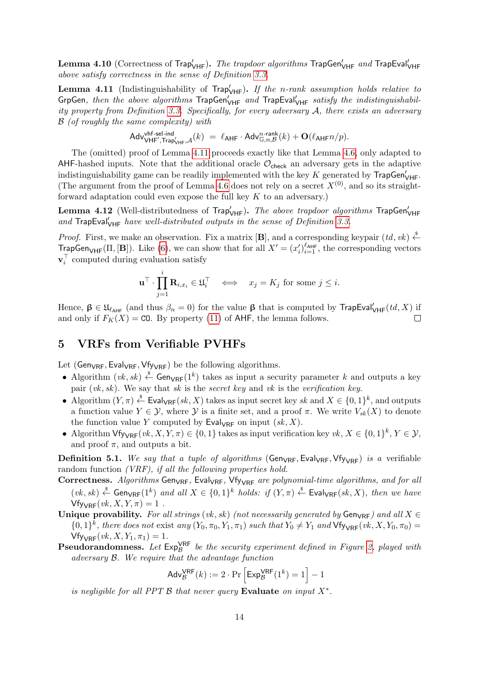${\bf Lemma \ 4.10}$  (Correctness of Trap $'_{\sf VHF}$ ). *The trapdoor algorithms* TrapGen $'_{\sf VHF}$  and TrapEval $'_{\sf VHF}$ above satisfy correctness in the sense of Definition [3.3.](#page-6-1)

<span id="page-13-1"></span>**Lemma 4.11** (Indistinguishability of  $\text{Trap}_{VHF}^{\prime}$ ). If the n-rank assumption holds relative to GrpGen, then the above algorithms  $\overline{\text{TrapGen}'_{\text{VHF}}}$  and  $\overline{\text{TrapEval}'_{\text{VHF}}}$  satisfy the indistinguishability property from Definition [3.3.](#page-6-1) Specifically, for every adversary A, there exists an adversary B (of roughly the same complexity) with

$$
\mathsf{Adv}^{\mathsf{vhf-sel-ind}}_{\mathsf{VHF}',\mathsf{Trap}'_{\mathsf{VHF}},\mathcal{A}}(k) \; = \; \ell_{\mathsf{AHF}} \cdot \mathsf{Adv}^{n\text{-rank}}_{\mathbb{G},n,\mathcal{B}}(k) + \mathbf{O}(\ell_{\mathsf{AHF}} n/p).
$$

The (omitted) proof of Lemma [4.11](#page-13-1) proceeds exactly like that Lemma [4.6,](#page-8-3) only adapted to AHF-hashed inputs. Note that the additional oracle  $\mathcal{O}_{\mathsf{check}}$  an adversary gets in the adaptive indistinguishability game can be readily implemented with the key K generated by  $\mathsf{TrapGen}'_{\mathsf{VHF}}$ . (The argument from the proof of Lemma [4.6](#page-8-3) does not rely on a secret  $X^{(0)}$ , and so its straightforward adaptation could even expose the full key  $K$  to an adversary.)

**Lemma 4.12** (Well-distributedness of  $\mathsf{Trap}_{\mathsf{VHF}}'.$  The above trapdoor algorithms  $\mathsf{TrapGen}_{\mathsf{VHF}}'$ and  $\text{TrapEval}_{\text{VHF}}'$  have well-distributed outputs in the sense of Definition [3.3.](#page-6-1)

*Proof.* First, we make an observation. Fix a matrix  $[\mathbf{B}]$ , and a corresponding keypair  $(id, vk) \xleftarrow{\$}$ **TrapGen**<sub>VHF</sub>( $\Pi$ , [**B**]). Like [\(6\)](#page-8-1), we can show that for all  $X' = (x_i')_{i=1}^{\ell_{AHF}}$ , the corresponding vectors  $\mathbf{v}_i^{\top}$  computed during evaluation satisfy

$$
\mathbf{u}^{\top} \cdot \prod_{j=1}^{i} \mathbf{R}_{i,x_i} \in \mathfrak{U}_i^{\top} \iff x_j = K_j \text{ for some } j \leq i.
$$

Hence,  $\beta \in \mathfrak{U}_{\ell_{AHF}}$  (and thus  $\beta_n = 0$ ) for the value  $\beta$  that is computed by TrapEval $'_{VHF}(td, X)$  if and only if  $F_K(X) = \text{CO}$ . By property [\(11\)](#page-12-0) of AHF, the lemma follows. П

### 5 VRFs from Verifiable PVHFs

Let ( $Gen_{VRF}$ , Eval $_{VRF}$ , Vfy<sub>VRF</sub>) be the following algorithms.

- Algorithm  $(vk, sk) \stackrel{\$}{\leftarrow}$  Gen<sub>VRF</sub>(1<sup>k</sup>) takes as input a security parameter k and outputs a key pair  $(vk, sk)$ . We say that sk is the secret key and vk is the verification key.
- Algorithm  $(Y, \pi) \stackrel{\$}{\leftarrow}$  Eval<sub>VRF</sub> $(sk, X)$  takes as input secret key sk and  $X \in \{0, 1\}^k$ , and outputs a function value  $Y \in \mathcal{Y}$ , where  $\mathcal{Y}$  is a finite set, and a proof  $\pi$ . We write  $V_{sk}(X)$  to denote the function value Y computed by  $\mathsf{Eval}_{\mathsf{VRF}}$  on input  $(sk, X)$ .
- Algorithm  $\forall$  fy<sub> $\forall$ RF</sub>(*vk*, X, Y,  $\pi$ )  $\in$  {0, 1} takes as input verification key *vk*,  $X \in \{0,1\}^k$ ,  $Y \in \mathcal{Y}$ , and proof  $\pi$ , and outputs a bit.

<span id="page-13-0"></span>**Definition 5.1.** We say that a tuple of algorithms (Gen<sub>VRF</sub>, Eval<sub>VRF</sub>, Vfy<sub>VRF</sub>) is a verifiable random function *(VRF)*, if all the following properties hold.

Correctness. Algorithms Gen<sub>VRF</sub>, Eval<sub>VRF</sub>, Vfy<sub>VRF</sub> are polynomial-time algorithms, and for all  $(vk, sk) \stackrel{\$}{\leftarrow}$  Gen $_{VRF}(1^k)$  and all  $X \in \{0, 1\}^k$  holds: if  $(Y, \pi) \stackrel{\$}{\leftarrow}$  Eval $_{VRF}(sk, X)$ , then we have  $Vf_{\text{VVRF}}(vk, X, Y, \pi) = 1$ .

- Unique provability. For all strings (vk, sk) (not necessarily generated by  $Gen_{VRF}$ ) and all  $X \in$  $\{0,1\}^k$ , there does not exist any  $(Y_0, \pi_0, Y_1, \pi_1)$  such that  $Y_0 \neq Y_1$  and  $\forall f_{\forall \mathsf{R}\mathsf{F}}(vk, X, Y_0, \pi_0)$  $Vf_{VRF}(vk, X, Y_1, \pi_1) = 1.$
- **Pseudorandomness.** Let  $Exp^{\text{VRF}}_{\mathcal{B}}$  be the security experiment defined in Figure [2,](#page-14-0) played with adversary B. We require that the advantage function

$$
Adv_{\mathcal{B}}^{VRF}(k) := 2 \cdot \Pr\left[\text{Exp}_{\mathcal{B}}^{VRF}(1^k) = 1\right] - 1
$$

is negligible for all PPT  $\beta$  that never query Evaluate on input  $X^*$ .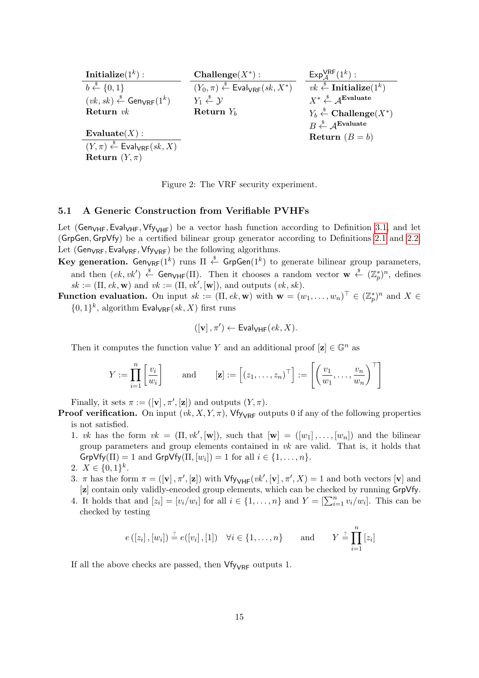| <b>Initialize</b> $(1^k)$ :                                        | Challenge $(X^*)$ :                                                                 | $Exp_{4}^{VRF}(1^k)$ :                                                                    |
|--------------------------------------------------------------------|-------------------------------------------------------------------------------------|-------------------------------------------------------------------------------------------|
| $b \leftarrow \{0, 1\}$                                            | $(Y_0, \pi) \stackrel{\$}{\leftarrow}$ Eval <sub>VRF</sub> $(sk, X^*)$              | $\boxed{vk} \overset{\$}{\leftarrow}$ Initialize $(1^k)$                                  |
| $(vk, sk) \stackrel{\$}{\leftarrow}$ Gen <sub>VRF</sub> $(1^k)$    | $Y_1 \overset{\hspace{0.1em}\mathsf{\scriptscriptstyle\$}}{\leftarrow} \mathcal{Y}$ | $X^* \overset{\$}{\leftarrow} A^{\text{Evaluate}}$                                        |
| Return $vk$                                                        | Return $Y_b$                                                                        | $Y_b \overset{\hspace{0.1em}\mathsf{\scriptscriptstyle\$}}{\leftarrow}$ Challenge $(X^*)$ |
|                                                                    |                                                                                     | $B \xleftarrow{\$} A^{\text{Evaluate}}$                                                   |
| Evaluate $(X)$ :                                                   |                                                                                     | <b>Return</b> $(B = b)$                                                                   |
| $(Y, \pi) \stackrel{\$}{\leftarrow}$ Eval <sub>VRF</sub> $(sk, X)$ |                                                                                     |                                                                                           |
| Return $(Y, \pi)$                                                  |                                                                                     |                                                                                           |

<span id="page-14-0"></span>Figure 2: The VRF security experiment.

#### 5.1 A Generic Construction from Verifiable PVHFs

Let (Gen<sub>VHF</sub>, Eval<sub>VHF</sub>, Vfy<sub>VHF</sub>) be a vector hash function according to Definition [3.1,](#page-4-0) and let (GrpGen, GrpVfy) be a certified bilinear group generator according to Definitions [2.1](#page-3-0) and [2.2.](#page-4-2) Let ( $Gen_{VRF}$ , Eval<sub>VRF</sub>, Vfy<sub>VRF</sub>) be the following algorithms.

**Key generation.** Gen<sub>VRF</sub>(1<sup>k</sup>) runs  $\Pi \stackrel{\$}{\leftarrow}$  GrpGen(1<sup>k</sup>) to generate bilinear group parameters, and then  $(ek, vk') \stackrel{\$}{\leftarrow}$  Gen<sub>VHF</sub>(II). Then it chooses a random vector  $\mathbf{w} \stackrel{\$}{\leftarrow} (\mathbb{Z}_p^*)^n$ , defines  $sk := (\Pi, ek, \mathbf{w})$  and  $vk := (\Pi, vk', [\mathbf{w}]),$  and outputs  $(vk, sk)$ .

**Function evaluation.** On input  $sk := (\Pi, ek, w)$  with  $w = (w_1, \ldots, w_n)^\top \in (\mathbb{Z}_p^*)^n$  and  $X \in$  $\{0,1\}^k$ , algorithm Eval<sub>VRF</sub>(sk, X) first runs

$$
([\mathbf{v}], \pi') \leftarrow \mathsf{Eval}_{\mathsf{VHF}}(ek, X).
$$

Then it computes the function value Y and an additional proof  $[\mathbf{z}] \in \mathbb{G}^n$  as

$$
Y := \prod_{i=1}^{n} \left[ \frac{v_i}{w_i} \right] \quad \text{and} \quad [\mathbf{z}] := \left[ (z_1, \dots, z_n)^\top \right] := \left[ \left( \frac{v_1}{w_1}, \dots, \frac{v_n}{w_n} \right)^\top \right]
$$

Finally, it sets  $\pi := ([v], \pi', [z])$  and outputs  $(Y, \pi)$ .

**Proof verification.** On input  $(vk, X, Y, \pi)$ , Vfy<sub>VRF</sub> outputs 0 if any of the following properties is not satisfied.

- 1. vk has the form  $vk = (\Pi, vk', [\mathbf{w}])$ , such that  $[\mathbf{w}] = ([w_1], \ldots, [w_n])$  and the bilinear group parameters and group elements contained in vk are valid. That is, it holds that  $\mathsf{GrpVfy}(\Pi) = 1$  and  $\mathsf{GrpVfy}(\Pi, [w_i]) = 1$  for all  $i \in \{1, \ldots, n\}.$
- 2.  $X \in \{0,1\}^k$ .
- 3.  $\pi$  has the form  $\pi = ([\mathbf{v}], \pi', [\mathbf{z}])$  with  $\mathsf{Vf}\mathsf{y}_{\mathsf{VHF}}(vk', [\mathbf{v}], \pi', X) = 1$  and both vectors  $[\mathbf{v}]$  and [z] contain only validly-encoded group elements, which can be checked by running GrpVfy.
- 4. It holds that and  $[z_i] = [v_i/w_i]$  for all  $i \in \{1, \ldots, n\}$  and  $Y = [\sum_{i=1}^n v_i/w_i]$ . This can be checked by testing

$$
e([z_i], [w_i]) \stackrel{?}{=} e([v_i], [1]) \quad \forall i \in \{1, \ldots, n\} \quad \text{and} \quad Y \stackrel{?}{=} \prod_{i=1}^n [z_i]
$$

If all the above checks are passed, then  $Vf_{VRF}$  outputs 1.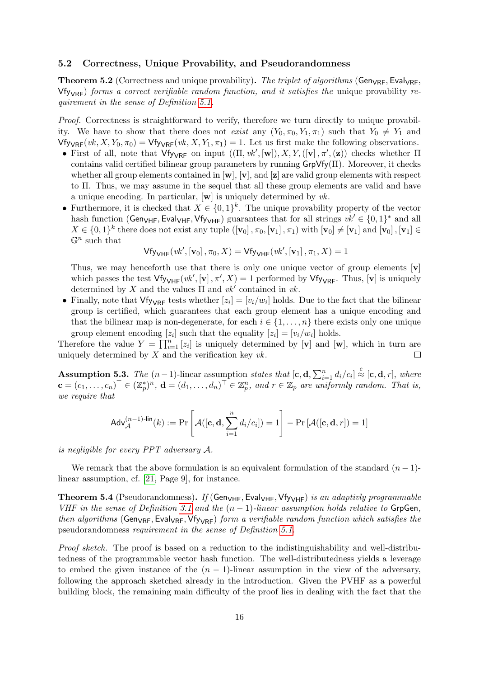#### 5.2 Correctness, Unique Provability, and Pseudorandomness

**Theorem 5.2** (Correctness and unique provability). The triplet of algorithms (Gen<sub>VRF</sub>, Eval<sub>VRF</sub>,  $Vf_{\text{VVRF}}$ ) forms a correct verifiable random function, and it satisfies the unique provability requirement in the sense of Definition [5.1.](#page-13-0)

Proof. Correctness is straightforward to verify, therefore we turn directly to unique provability. We have to show that there does not exist any  $(Y_0, \pi_0, Y_1, \pi_1)$  such that  $Y_0 \neq Y_1$  and  $Vf_{\text{VRF}}(vk, X, Y_0, \pi_0) = Vf_{\text{VVRF}}(vk, X, Y_1, \pi_1) = 1$ . Let us first make the following observations.

- First of all, note that  $Vf_{VRF}$  on input  $((\Pi, vk',[\mathbf{w}]), X, Y,([\mathbf{v}], \pi', (\mathbf{z}))$  checks whether  $\Pi$ contains valid certified bilinear group parameters by running  $GrpVf/(H)$ . Moreover, it checks whether all group elements contained in  $[w]$ ,  $[v]$ , and  $[z]$  are valid group elements with respect to Π. Thus, we may assume in the sequel that all these group elements are valid and have a unique encoding. In particular,  $[\mathbf{w}]$  is uniquely determined by *vk*.
- Furthermore, it is checked that  $X \in \{0,1\}^k$ . The unique provability property of the vector hash function (Gen<sub>VHF</sub>, Eval<sub>VHF</sub>, Vfy<sub>VHF</sub>) guarantees that for all strings  $vk' \in \{0, 1\}^*$  and all  $X \in \{0,1\}^k$  there does not exist any tuple  $([\mathbf{v}_0], \pi_0, [\mathbf{v}_1], \pi_1)$  with  $[\mathbf{v}_0] \neq [\mathbf{v}_1]$  and  $[\mathbf{v}_0], [\mathbf{v}_1] \in$  $\mathbb{G}^n$  such that

$$
\mathsf{Vf}_{\mathsf{YVHF}}(vk', [\mathbf{v}_0], \pi_0, X) = \mathsf{Vf}_{\mathsf{YVHF}}(vk', [\mathbf{v}_1], \pi_1, X) = 1
$$

Thus, we may henceforth use that there is only one unique vector of group elements  $[\mathbf{v}]$ which passes the test  $Vf_{V\setminus HF}(vk', [v], \pi', X) = 1$  performed by  $Vf_{V\setminus RF}$ . Thus,  $[v]$  is uniquely determined by X and the values  $\Pi$  and  $vk'$  contained in  $vk$ .

• Finally, note that  $Vf_{V\wedge F}$  tests whether  $[z_i] = [v_i/w_i]$  holds. Due to the fact that the bilinear group is certified, which guarantees that each group element has a unique encoding and that the bilinear map is non-degenerate, for each  $i \in \{1, \ldots, n\}$  there exists only one unique group element encoding  $[z_i]$  such that the equality  $[z_i] = [v_i/w_i]$  holds.

Therefore the value  $Y = \prod_{i=1}^{n} [z_i]$  is uniquely determined by [**v**] and [**w**], which in turn are uniquely determined by  $X$  and the verification key  $vk$ .  $\Box$ 

**Assumption 5.3.** The  $(n-1)$ -linear assumption states that  $[\mathbf{c}, \mathbf{d}, \sum_{i=1}^{n} d_i/c_i] \stackrel{c}{\approx} [\mathbf{c}, \mathbf{d}, r]$ , where  $\mathbf{c} = (c_1, \ldots, c_n)^\top \in (\mathbb{Z}_p^*)^n$ ,  $\mathbf{d} = (d_1, \ldots, d_n)^\top \in \mathbb{Z}_p^n$ , and  $r \in \mathbb{Z}_p$  are uniformly random. That is, we require that

$$
\mathsf{Adv}_{\mathcal{A}}^{(n-1)\text{-lin}}(k) := \Pr\left[\mathcal{A}([\mathbf{c}, \mathbf{d}, \sum_{i=1}^{n} d_i/c_i]) = 1\right] - \Pr\left[\mathcal{A}([\mathbf{c}, \mathbf{d}, r]) = 1\right]
$$

is negligible for every PPT adversary A.

We remark that the above formulation is an equivalent formulation of the standard  $(n-1)$ linear assumption, cf. [\[21,](#page-20-13) Page 9], for instance.

**Theorem 5.4** (Pseudorandomness). If (Gen<sub>VHF</sub>, Eval<sub>VHF</sub>, Vfy<sub>VHF</sub>) is an adaptivly programmable VHF in the sense of Definition [3.1](#page-4-0) and the  $(n-1)$ -linear assumption holds relative to GrpGen, then algorithms (Gen<sub>VRF</sub>, Eval<sub>VRF</sub>, Vfy<sub>VRF</sub>) form a verifiable random function which satisfies the pseudorandomness requirement in the sense of Definition [5.1.](#page-13-0)

Proof sketch. The proof is based on a reduction to the indistinguishability and well-distributedness of the programmable vector hash function. The well-distributedness yields a leverage to embed the given instance of the  $(n - 1)$ -linear assumption in the view of the adversary, following the approach sketched already in the introduction. Given the PVHF as a powerful building block, the remaining main difficulty of the proof lies in dealing with the fact that the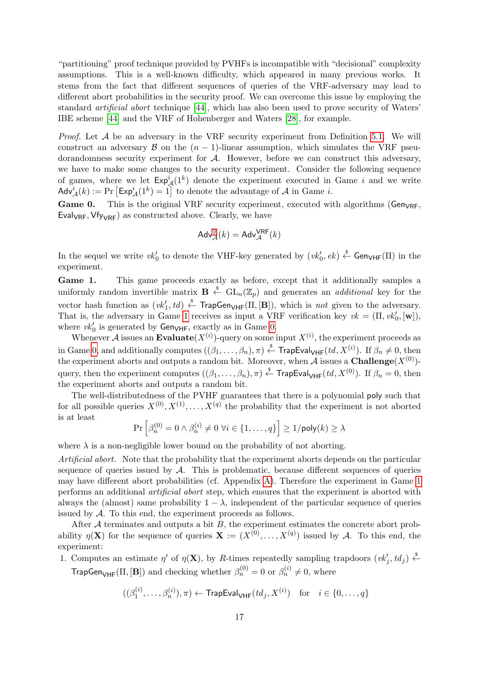"partitioning" proof technique provided by PVHFs is incompatible with "decisional" complexity assumptions. This is a well-known difficulty, which appeared in many previous works. It stems from the fact that different sequences of queries of the VRF-adversary may lead to different abort probabilities in the security proof. We can overcome this issue by employing the standard artificial abort technique [\[44\]](#page-22-1), which has also been used to prove security of Waters' IBE scheme [\[44\]](#page-22-1) and the VRF of Hohenberger and Waters [\[28\]](#page-21-4), for example.

*Proof.* Let  $A$  be an adversary in the VRF security experiment from Definition [5.1.](#page-13-0) We will construct an adversary B on the  $(n - 1)$ -linear assumption, which simulates the VRF pseudorandomness security experiment for A. However, before we can construct this adversary, we have to make some changes to the security experiment. Consider the following sequence of games, where we let  $Exp_A^i(1^k)$  denote the experiment executed in Game i and we write  $\mathsf{Adv}^i_{\mathcal{A}}(k) := \Pr\left[\mathsf{Exp}^i_{\mathcal{A}}(1^k) = 1\right]$  to denote the advantage of  $\mathcal{A}$  in Game *i*.

<span id="page-16-0"></span>Game 0. This is the original VRF security experiment, executed with algorithms ( $Gen_{VRF}$ , Eval<sub>VRF</sub>,  $Vf_{V\vee RF}$  as constructed above. Clearly, we have

$$
\mathsf{Adv}^0_{\mathcal{A}}(k) = \mathsf{Adv}^{\mathsf{VRF}}_{\mathcal{A}}(k)
$$

In the sequel we write  $vk'_0$  to denote the VHF-key generated by  $(vk'_0, ek) \stackrel{\$}{\leftarrow}$  Gen<sub>VHF</sub>(II) in the experiment.

<span id="page-16-1"></span>Game 1. This game proceeds exactly as before, except that it additionally samples a uniformly random invertible matrix  $\mathbf{B} \stackrel{\hspace{0.1em}\mathsf{\scriptscriptstyle\$}}{\leftarrow} \mathrm{GL}_n(\mathbb{Z}_p)$  and generates an *additional* key for the vector hash function as  $(vk'_1, td) \stackrel{\$}{\leftarrow}$  TrapGen<sub>VHF</sub>( $\Pi$ , [B]), which is *not* given to the adversary. That is, the adversary in Game [1](#page-16-1) receives as input a VRF verification key  $vk = (\Pi, vk'_0, [\mathbf{w}]),$ where  $vk'_0$  is generated by  $Gen_{VHF}$ , exactly as in Game [0.](#page-16-0)

Whenever A issues an **Evaluate** $(X^{(i)})$ -query on some input  $X^{(i)}$ , the experiment proceeds as in Game [0,](#page-16-0) and additionally computes  $((\beta_1,\ldots,\beta_n),\pi) \stackrel{\hspace{0.1em}\mathsf{\scriptscriptstyle\$}}{\leftarrow}$  TrapEval<sub>VHF</sub>(*td*,  $X^{(i)}$ ). If  $\beta_n \neq 0$ , then the experiment aborts and outputs a random bit. Moreover, when A issues a **Challenge** $(X^{(0)})$ query, then the experiment computes  $((\beta_1,\ldots,\beta_n),\pi)\stackrel{\hspace{0.1em}\mathsf{\scriptscriptstyle\$}}{\leftarrow}$  TrapEval<sub>VHF</sub> $(td,X^{(0)})$ . If  $\beta_n=0$ , then the experiment aborts and outputs a random bit.

The well-distributedness of the PVHF guarantees that there is a polynomial poly such that for all possible queries  $X^{(0)}, X^{(1)}, \ldots, X^{(q)}$  the probability that the experiment is not aborted is at least

$$
\Pr\left[\beta_n^{(0)} = 0 \land \beta_n^{(i)} \neq 0 \,\,\forall i \in \{1, \dots, q\}\right] \ge 1/\mathsf{poly}(k) \ge \lambda
$$

where  $\lambda$  is a non-negligible lower bound on the probability of not aborting.

Artificial abort. Note that the probability that the experiment aborts depends on the particular sequence of queries issued by  $A$ . This is problematic, because different sequences of queries may have different abort probabilities (cf. Appendix [A\)](#page-22-2). Therefore the experiment in Game [1](#page-16-1) performs an additional artificial abort step, which ensures that the experiment is aborted with always the (almost) same probability  $1 - \lambda$ , independent of the particular sequence of queries issued by A. To this end, the experiment proceeds as follows.

After  $A$  terminates and outputs a bit  $B$ , the experiment estimates the concrete abort probability  $\eta(\mathbf{X})$  for the sequence of queries  $\mathbf{X} := (X^{(0)}, \dots, X^{(q)})$  issued by A. To this end, the experiment:

1. Computes an estimate  $\eta'$  of  $\eta(\mathbf{X})$ , by R-times repeatedly sampling trapdoors  $(vk'_j, td_j) \stackrel{\$}{\leftarrow}$ **TrapGen<sub>VHF</sub>**( $\Pi$ , [**B**]) and checking whether  $\beta_n^{(0)} = 0$  or  $\beta_n^{(i)} \neq 0$ , where

$$
((\beta_1^{(i)},\ldots,\beta_n^{(i)}),\pi) \leftarrow \mathsf{TrapEval}_{\mathsf{VHF}}(\mathit{td}_j,X^{(i)}) \quad \text{for} \quad i \in \{0,\ldots,q\}
$$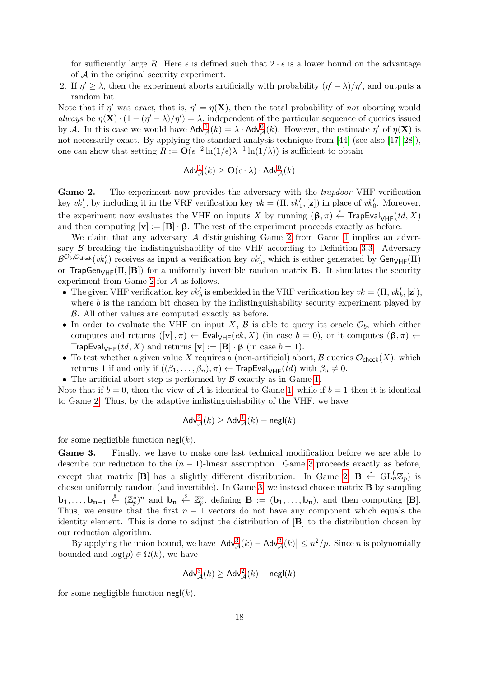for sufficiently large R. Here  $\epsilon$  is defined such that  $2 \cdot \epsilon$  is a lower bound on the advantage of  $A$  in the original security experiment.

2. If  $\eta' \geq \lambda$ , then the experiment aborts artificially with probability  $(\eta' - \lambda)/\eta'$ , and outputs a random bit.

Note that if  $\eta'$  was exact, that is,  $\eta' = \eta(\mathbf{X})$ , then the total probability of not aborting would always be  $\eta(\mathbf{X}) \cdot (1 - (\eta' - \lambda)/\eta') = \lambda$ , independent of the particular sequence of queries issued by A. In this case we would have  $\text{Adv}^1_{\mathcal{A}}(k) = \lambda \cdot \text{Adv}^0_{\mathcal{A}}(k)$  $\text{Adv}^1_{\mathcal{A}}(k) = \lambda \cdot \text{Adv}^0_{\mathcal{A}}(k)$  $\text{Adv}^1_{\mathcal{A}}(k) = \lambda \cdot \text{Adv}^0_{\mathcal{A}}(k)$  $\text{Adv}^1_{\mathcal{A}}(k) = \lambda \cdot \text{Adv}^0_{\mathcal{A}}(k)$  $\text{Adv}^1_{\mathcal{A}}(k) = \lambda \cdot \text{Adv}^0_{\mathcal{A}}(k)$ . However, the estimate  $\eta'$  of  $\eta(\mathbf{X})$  is not necessarily exact. By applying the standard analysis technique from [\[44\]](#page-22-1) (see also [\[17,](#page-20-14) [28\]](#page-21-4)), one can show that setting  $R := \mathbf{O}(\epsilon^{-2} \ln(1/\epsilon) \lambda^{-1} \ln(1/\lambda))$  is sufficient to obtain

$$
\mathsf{Adv}^1_{\mathcal{A}}(k) \geq \mathbf{O}(\epsilon \cdot \lambda) \cdot \mathsf{Adv}^0_{\mathcal{A}}(k)
$$

<span id="page-17-0"></span>Game 2. The experiment now provides the adversary with the *trapdoor* VHF verification key  $vk'_1$ , by including it in the VRF verification key  $vk = (\Pi, vk'_1, [\mathbf{z}])$  in place of  $vk'_0$ . Moreover, the experiment now evaluates the VHF on inputs X by running  $(\beta, \pi) \stackrel{\$}{\leftarrow}$  TrapEval<sub>VHF</sub>(td, X) and then computing  $[v] := [B] \cdot \beta$ . The rest of the experiment proceeds exactly as before.

We claim that any adversary  $A$  distinguishing Game [2](#page-17-0) from Game [1](#page-16-1) implies an adversary  $\beta$  breaking the indistinguishability of the VHF according to Definition [3.3.](#page-6-1) Adversary  $\mathcal{B}^{\mathcal{O}_b,\mathcal{O}_{\mathsf{check}}}(vk'_b)$  receives as input a verification key  $vk'_b$ , which is either generated by  $\mathsf{Gen}_{\mathsf{VHF}}(\Pi)$ or TrapGen<sub>VHF</sub>( $\Pi$ ,  $[\mathbf{B}]$ ) for a uniformly invertible random matrix **B**. It simulates the security experiment from Game [2](#page-17-0) for A as follows.

- The given VHF verification key  $vk'_b$  is embedded in the VRF verification key  $vk = (\Pi, vk'_b, [\mathbf{z}]),$ where  $b$  is the random bit chosen by the indistinguishability security experiment played by B. All other values are computed exactly as before.
- In order to evaluate the VHF on input X,  $\beta$  is able to query its oracle  $\mathcal{O}_b$ , which either computes and returns  $([\mathbf{v}], \pi) \leftarrow \mathsf{Eval}_{\mathsf{VHF}}(ek, X)$  (in case  $b = 0$ ), or it computes  $(\beta, \pi) \leftarrow$ TrapEval<sub>VHF</sub>(td, X) and returns  $[\mathbf{v}] := [\mathbf{B}] \cdot \mathbf{\beta}$  (in case  $b = 1$ ).
- To test whether a given value X requires a (non-artificial) abort, B queries  $\mathcal{O}_{\text{check}}(X)$ , which returns 1 if and only if  $((\beta_1,\ldots,\beta_n),\pi) \leftarrow$  TrapEval<sub>VHF</sub> $(td)$  with  $\beta_n \neq 0$ .
- The artificial abort step is performed by  $\beta$  exactly as in Game [1.](#page-16-1)

Note that if  $b = 0$ , then the view of A is identical to Game [1,](#page-16-1) while if  $b = 1$  then it is identical to Game [2.](#page-17-0) Thus, by the adaptive indistinguishability of the VHF, we have

$$
\mathsf{Adv}^2_{\mathcal{A}}(k) \geq \mathsf{Adv}^1_{\mathcal{A}}(k) - \mathsf{negl}(k)
$$

for some negligible function  $\mathsf{negl}(k)$ .

<span id="page-17-1"></span>Game 3. Finally, we have to make one last technical modification before we are able to describe our reduction to the  $(n - 1)$ -linear assumption. Game [3](#page-17-1) proceeds exactly as before, except that matrix [B] has a slightly different distribution. In Game [2,](#page-17-0)  $B \leftarrow \text{GL}_n(\mathbb{Z}_p)$  is chosen uniformly random (and invertible). In Game [3,](#page-17-1) we instead choose matrix B by sampling  $\mathbf{b}_1,\ldots,\mathbf{b}_{n-1} \stackrel{\hspace{0.1em}\mathsf{\scriptscriptstyle\$}}{\leftarrow} (\mathbb{Z}_p^*)^n$  and  $\mathbf{b}_n \stackrel{\hspace{0.1em}\mathsf{\scriptscriptstyle\$}}{\leftarrow} \mathbb{Z}_p^n$ , defining  $\mathbf{B} := (\mathbf{b}_1,\ldots,\mathbf{b}_n)$ , and then computing  $[\mathbf{B}]$ . Thus, we ensure that the first  $n-1$  vectors do not have any component which equals the identity element. This is done to adjust the distribution of [B] to the distribution chosen by our reduction algorithm.

By applying the union bound, we have  $|\mathsf{Adv}_{\mathcal{A}}^3(k) - \mathsf{Adv}_{\mathcal{A}}^2(k)| \leq n^2/p$  $|\mathsf{Adv}_{\mathcal{A}}^3(k) - \mathsf{Adv}_{\mathcal{A}}^2(k)| \leq n^2/p$  $|\mathsf{Adv}_{\mathcal{A}}^3(k) - \mathsf{Adv}_{\mathcal{A}}^2(k)| \leq n^2/p$  $|\mathsf{Adv}_{\mathcal{A}}^3(k) - \mathsf{Adv}_{\mathcal{A}}^2(k)| \leq n^2/p$  $|\mathsf{Adv}_{\mathcal{A}}^3(k) - \mathsf{Adv}_{\mathcal{A}}^2(k)| \leq n^2/p$ . Since *n* is polynomially bounded and  $log(p) \in \Omega(k)$ , we have

$$
\mathsf{Adv}^3_{\mathcal{A}}(k) \geq \mathsf{Adv}^2_{\mathcal{A}}(k) - \mathsf{negl}(k)
$$

for some negligible function  $\mathsf{negl}(k)$ .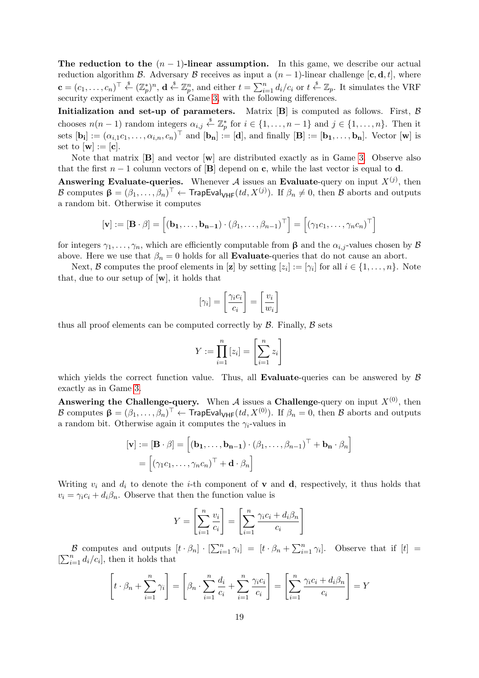The reduction to the  $(n - 1)$ -linear assumption. In this game, we describe our actual reduction algorithm B. Adversary B receives as input a  $(n-1)$ -linear challenge  $[\mathbf{c}, \mathbf{d}, t]$ , where  $\mathbf{c} = (c_1, \ldots, c_n)^\top \stackrel{\$}{\leftarrow} (\mathbb{Z}_p^*)^n$ ,  $\mathbf{d} \stackrel{\$}{\leftarrow} \mathbb{Z}_p^n$ , and either  $t = \sum_{i=1}^n d_i/c_i$  or  $t \stackrel{\$}{\leftarrow} \mathbb{Z}_p$ . It simulates the VRF security experiment exactly as in Game [3,](#page-17-1) with the following differences.

Initialization and set-up of parameters. Matrix  $[B]$  is computed as follows. First,  $\beta$ chooses  $n(n-1)$  random integers  $\alpha_{i,j} \stackrel{\$}{\leftarrow} \mathbb{Z}_p^*$  for  $i \in \{1, \ldots, n-1\}$  and  $j \in \{1, \ldots, n\}$ . Then it sets  $[\mathbf{b_i}] := (\alpha_{i,1}c_1,\ldots,\alpha_{i,n},c_n)^\top$  and  $[\mathbf{b_n}] := [\mathbf{d}]$ , and finally  $[\mathbf{B}] := [\mathbf{b_1},\ldots,\mathbf{b_n}]$ . Vector  $[\mathbf{w}]$  is set to  $[\mathbf{w}] := [\mathbf{c}]$ .

Note that matrix  $[\mathbf{B}]$  and vector  $[\mathbf{w}]$  are distributed exactly as in Game [3.](#page-17-1) Observe also that the first  $n-1$  column vectors of [B] depend on c, while the last vector is equal to d.

**Answering Evaluate-queries.** Whenever A issues an Evaluate-query on input  $X^{(j)}$ , then *B* computes  $\beta = (\beta_1, ..., \beta_n)^T$  ← TrapEval<sub>VHF</sub>(*td*, *X*<sup>(*j*)</sup>). If  $\beta_n \neq 0$ , then *B* aborts and outputs a random bit. Otherwise it computes

$$
[\mathbf{v}] := [\mathbf{B} \cdot \beta] = [(\mathbf{b_1}, \dots, \mathbf{b_{n-1}}) \cdot (\beta_1, \dots, \beta_{n-1})^\top] = [(\gamma_1 c_1, \dots, \gamma_n c_n)^\top]
$$

for integers  $\gamma_1, \ldots, \gamma_n$ , which are efficiently computable from  $\beta$  and the  $\alpha_{i,j}$ -values chosen by  $\beta$ above. Here we use that  $\beta_n = 0$  holds for all **Evaluate**-queries that do not cause an abort.

Next, B computes the proof elements in [**z**] by setting  $[z_i] := [\gamma_i]$  for all  $i \in \{1, \ldots, n\}$ . Note that, due to our setup of  $[w]$ , it holds that

$$
[\gamma_i] = \left[\frac{\gamma_i c_i}{c_i}\right] = \left[\frac{v_i}{w_i}\right]
$$

thus all proof elements can be computed correctly by  $\beta$ . Finally,  $\beta$  sets

$$
Y := \prod_{i=1}^{n} [z_i] = \left[\sum_{i=1}^{n} z_i\right]
$$

which yields the correct function value. Thus, all **Evaluate**-queries can be answered by  $\beta$ exactly as in Game [3.](#page-17-1)

Answering the Challenge-query. When A issues a Challenge-query on input  $X^{(0)}$ , then B computes  $\beta = (\beta_1, \ldots, \beta_n)^\top \leftarrow \textsf{TrapEval}_{\textsf{VHF}}(td, X^{(0)}).$  If  $\beta_n = 0,$  then B aborts and outputs a random bit. Otherwise again it computes the  $\gamma_i$ -values in

$$
\begin{aligned} [\mathbf{v}] &:= [\mathbf{B} \cdot \beta] = \left[ (\mathbf{b}_1, \dots, \mathbf{b}_{n-1}) \cdot (\beta_1, \dots, \beta_{n-1})^\top + \mathbf{b}_n \cdot \beta_n \right] \\ &= \left[ (\gamma_1 c_1, \dots, \gamma_n c_n)^\top + \mathbf{d} \cdot \beta_n \right] \end{aligned}
$$

Writing  $v_i$  and  $d_i$  to denote the *i*-th component of **v** and **d**, respectively, it thus holds that  $v_i = \gamma_i c_i + d_i \beta_n$ . Observe that then the function value is

$$
Y = \left[\sum_{i=1}^{n} \frac{v_i}{c_i}\right] = \left[\sum_{i=1}^{n} \frac{\gamma_i c_i + d_i \beta_n}{c_i}\right]
$$

B computes and outputs  $[t \cdot \beta_n] \cdot [\sum_{i=1}^n \gamma_i] = [t \cdot \beta_n + \sum_{i=1}^n \gamma_i].$  Observe that if  $[t] =$  $[\sum_{i=1}^{n} d_i/c_i]$ , then it holds that

$$
\left[t \cdot \beta_n + \sum_{i=1}^n \gamma_i\right] = \left[\beta_n \cdot \sum_{i=1}^n \frac{d_i}{c_i} + \sum_{i=1}^n \frac{\gamma_i c_i}{c_i}\right] = \left[\sum_{i=1}^n \frac{\gamma_i c_i + d_i \beta_n}{c_i}\right] = Y
$$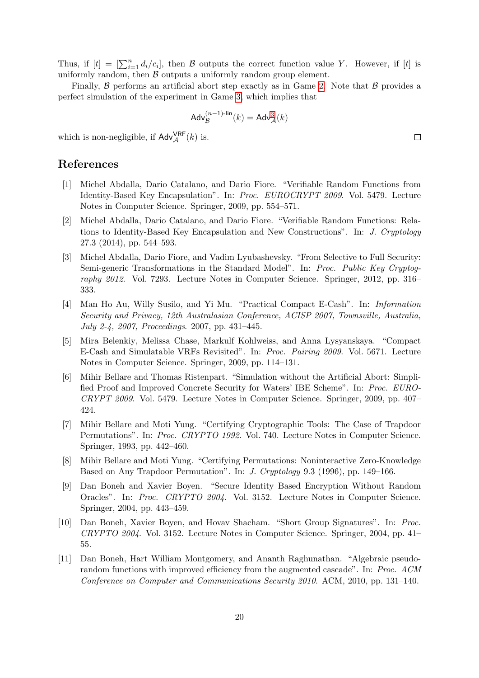Thus, if  $[t] = \left[\sum_{i=1}^{n} d_i/c_i\right]$ , then  $\beta$  outputs the correct function value Y. However, if  $[t]$  is uniformly random, then  $\beta$  outputs a uniformly random group element.

Finally,  $\beta$  performs an artificial abort step exactly as in Game [2.](#page-17-0) Note that  $\beta$  provides a perfect simulation of the experiment in Game [3,](#page-17-1) which implies that

$$
\mathsf{Adv}_{\mathcal{B}}^{(n-1)\text{-lin}}(k) = \mathsf{Adv}_{\mathcal{A}}^{3}(k)
$$

which is non-negligible, if  $\mathsf{Adv}_{\mathcal{A}}^{\mathsf{VRF}}(k)$  is.

## References

- <span id="page-19-5"></span>[1] Michel Abdalla, Dario Catalano, and Dario Fiore. "Verifiable Random Functions from Identity-Based Key Encapsulation". In: Proc. EUROCRYPT 2009. Vol. 5479. Lecture Notes in Computer Science. Springer, 2009, pp. 554–571.
- <span id="page-19-3"></span>[2] Michel Abdalla, Dario Catalano, and Dario Fiore. "Verifiable Random Functions: Relations to Identity-Based Key Encapsulation and New Constructions". In: J. Cryptology 27.3 (2014), pp. 544–593.
- <span id="page-19-9"></span>[3] Michel Abdalla, Dario Fiore, and Vadim Lyubashevsky. "From Selective to Full Security: Semi-generic Transformations in the Standard Model". In: Proc. Public Key Cryptography 2012. Vol. 7293. Lecture Notes in Computer Science. Springer, 2012, pp. 316– 333.
- <span id="page-19-0"></span>[4] Man Ho Au, Willy Susilo, and Yi Mu. "Practical Compact E-Cash". In: Information Security and Privacy, 12th Australasian Conference, ACISP 2007, Townsville, Australia, July 2-4, 2007, Proceedings. 2007, pp. 431–445.
- <span id="page-19-1"></span>[5] Mira Belenkiy, Melissa Chase, Markulf Kohlweiss, and Anna Lysyanskaya. "Compact E-Cash and Simulatable VRFs Revisited". In: Proc. Pairing 2009. Vol. 5671. Lecture Notes in Computer Science. Springer, 2009, pp. 114–131.
- <span id="page-19-10"></span>[6] Mihir Bellare and Thomas Ristenpart. "Simulation without the Artificial Abort: Simplified Proof and Improved Concrete Security for Waters' IBE Scheme". In: Proc. EURO-CRYPT 2009. Vol. 5479. Lecture Notes in Computer Science. Springer, 2009, pp. 407– 424.
- <span id="page-19-6"></span>[7] Mihir Bellare and Moti Yung. "Certifying Cryptographic Tools: The Case of Trapdoor Permutations". In: Proc. CRYPTO 1992. Vol. 740. Lecture Notes in Computer Science. Springer, 1993, pp. 442–460.
- <span id="page-19-7"></span>[8] Mihir Bellare and Moti Yung. "Certifying Permutations: Noninteractive Zero-Knowledge Based on Any Trapdoor Permutation". In: J. Cryptology 9.3 (1996), pp. 149–166.
- <span id="page-19-8"></span>[9] Dan Boneh and Xavier Boyen. "Secure Identity Based Encryption Without Random Oracles". In: Proc. CRYPTO 2004. Vol. 3152. Lecture Notes in Computer Science. Springer, 2004, pp. 443–459.
- <span id="page-19-4"></span>[10] Dan Boneh, Xavier Boyen, and Hovav Shacham. "Short Group Signatures". In: Proc. CRYPTO 2004. Vol. 3152. Lecture Notes in Computer Science. Springer, 2004, pp. 41– 55.
- <span id="page-19-2"></span>[11] Dan Boneh, Hart William Montgomery, and Ananth Raghunathan. "Algebraic pseudorandom functions with improved efficiency from the augmented cascade". In: Proc. ACM Conference on Computer and Communications Security 2010. ACM, 2010, pp. 131–140.

 $\Box$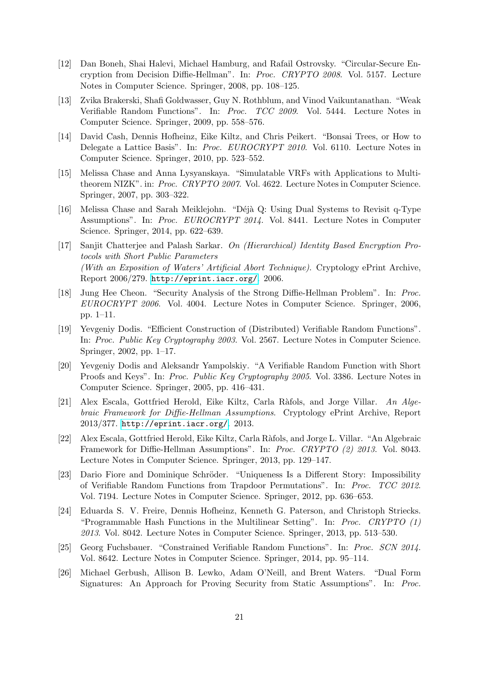- <span id="page-20-10"></span>[12] Dan Boneh, Shai Halevi, Michael Hamburg, and Rafail Ostrovsky. "Circular-Secure Encryption from Decision Diffie-Hellman". In: Proc. CRYPTO 2008. Vol. 5157. Lecture Notes in Computer Science. Springer, 2008, pp. 108–125.
- <span id="page-20-2"></span>[13] Zvika Brakerski, Shafi Goldwasser, Guy N. Rothblum, and Vinod Vaikuntanathan. "Weak Verifiable Random Functions". In: Proc. TCC 2009. Vol. 5444. Lecture Notes in Computer Science. Springer, 2009, pp. 558–576.
- <span id="page-20-12"></span>[14] David Cash, Dennis Hofheinz, Eike Kiltz, and Chris Peikert. "Bonsai Trees, or How to Delegate a Lattice Basis". In: Proc. EUROCRYPT 2010. Vol. 6110. Lecture Notes in Computer Science. Springer, 2010, pp. 523–552.
- <span id="page-20-8"></span>[15] Melissa Chase and Anna Lysyanskaya. "Simulatable VRFs with Applications to Multitheorem NIZK". in: Proc. CRYPTO 2007. Vol. 4622. Lecture Notes in Computer Science. Springer, 2007, pp. 303–322.
- <span id="page-20-5"></span>[16] Melissa Chase and Sarah Meiklejohn. "Déjà Q: Using Dual Systems to Revisit q-Type Assumptions". In: Proc. EUROCRYPT 2014. Vol. 8441. Lecture Notes in Computer Science. Springer, 2014, pp. 622–639.
- <span id="page-20-14"></span>[17] Sanjit Chatterjee and Palash Sarkar. On (Hierarchical) Identity Based Encryption Protocols with Short Public Parameters (With an Exposition of Waters' Artificial Abort Technique). Cryptology ePrint Archive, Report 2006/279. <http://eprint.iacr.org/>. 2006.
- <span id="page-20-0"></span>[18] Jung Hee Cheon. "Security Analysis of the Strong Diffie-Hellman Problem". In: Proc. EUROCRYPT 2006. Vol. 4004. Lecture Notes in Computer Science. Springer, 2006, pp. 1–11.
- <span id="page-20-7"></span>[19] Yevgeniy Dodis. "Efficient Construction of (Distributed) Verifiable Random Functions". In: Proc. Public Key Cryptography 2003. Vol. 2567. Lecture Notes in Computer Science. Springer, 2002, pp. 1–17.
- <span id="page-20-1"></span>[20] Yevgeniy Dodis and Aleksandr Yampolskiy. "A Verifiable Random Function with Short Proofs and Keys". In: Proc. Public Key Cryptography 2005. Vol. 3386. Lecture Notes in Computer Science. Springer, 2005, pp. 416–431.
- <span id="page-20-13"></span>[21] Alex Escala, Gottfried Herold, Eike Kiltz, Carla Ràfols, and Jorge Villar. An Algebraic Framework for Diffie-Hellman Assumptions. Cryptology ePrint Archive, Report 2013/377. <http://eprint.iacr.org/>. 2013.
- <span id="page-20-6"></span>[22] Alex Escala, Gottfried Herold, Eike Kiltz, Carla R`afols, and Jorge L. Villar. "An Algebraic Framework for Diffie-Hellman Assumptions". In: Proc. CRYPTO (2) 2013. Vol. 8043. Lecture Notes in Computer Science. Springer, 2013, pp. 129–147.
- <span id="page-20-3"></span>[23] Dario Fiore and Dominique Schröder. "Uniqueness Is a Different Story: Impossibility of Verifiable Random Functions from Trapdoor Permutations". In: Proc. TCC 2012. Vol. 7194. Lecture Notes in Computer Science. Springer, 2012, pp. 636–653.
- <span id="page-20-11"></span>[24] Eduarda S. V. Freire, Dennis Hofheinz, Kenneth G. Paterson, and Christoph Striecks. "Programmable Hash Functions in the Multilinear Setting". In: Proc. CRYPTO  $(1)$ 2013. Vol. 8042. Lecture Notes in Computer Science. Springer, 2013, pp. 513–530.
- <span id="page-20-9"></span>[25] Georg Fuchsbauer. "Constrained Verifiable Random Functions". In: Proc. SCN 2014. Vol. 8642. Lecture Notes in Computer Science. Springer, 2014, pp. 95–114.
- <span id="page-20-4"></span>[26] Michael Gerbush, Allison B. Lewko, Adam O'Neill, and Brent Waters. "Dual Form Signatures: An Approach for Proving Security from Static Assumptions". In: Proc.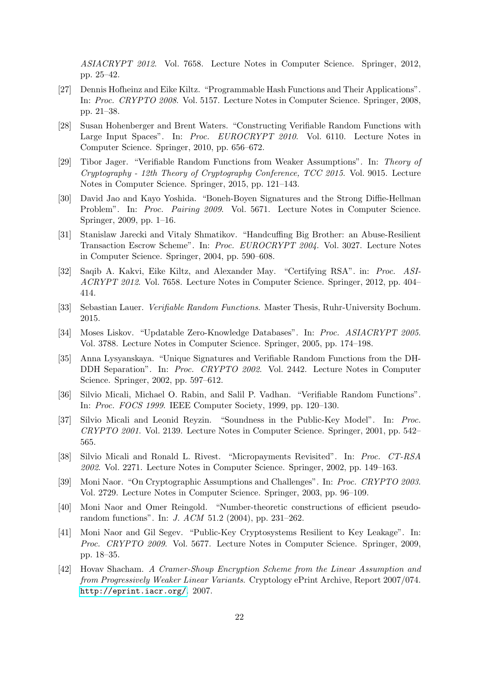ASIACRYPT 2012. Vol. 7658. Lecture Notes in Computer Science. Springer, 2012, pp. 25–42.

- <span id="page-21-11"></span>[27] Dennis Hofheinz and Eike Kiltz. "Programmable Hash Functions and Their Applications". In: Proc. CRYPTO 2008. Vol. 5157. Lecture Notes in Computer Science. Springer, 2008, pp. 21–38.
- <span id="page-21-4"></span>[28] Susan Hohenberger and Brent Waters. "Constructing Verifiable Random Functions with Large Input Spaces". In: Proc. EUROCRYPT 2010. Vol. 6110. Lecture Notes in Computer Science. Springer, 2010, pp. 656–672.
- <span id="page-21-6"></span>[29] Tibor Jager. "Verifiable Random Functions from Weaker Assumptions". In: Theory of Cryptography - 12th Theory of Cryptography Conference, TCC 2015. Vol. 9015. Lecture Notes in Computer Science. Springer, 2015, pp. 121–143.
- <span id="page-21-7"></span>[30] David Jao and Kayo Yoshida. "Boneh-Boyen Signatures and the Strong Diffie-Hellman Problem". In: Proc. Pairing 2009. Vol. 5671. Lecture Notes in Computer Science. Springer, 2009, pp. 1–16.
- <span id="page-21-2"></span>[31] Stanislaw Jarecki and Vitaly Shmatikov. "Handcuffing Big Brother: an Abuse-Resilient Transaction Escrow Scheme". In: Proc. EUROCRYPT 2004. Vol. 3027. Lecture Notes in Computer Science. Springer, 2004, pp. 590–608.
- <span id="page-21-14"></span>[32] Saqib A. Kakvi, Eike Kiltz, and Alexander May. "Certifying RSA". in: Proc. ASI-ACRYPT 2012. Vol. 7658. Lecture Notes in Computer Science. Springer, 2012, pp. 404– 414.
- <span id="page-21-8"></span>[33] Sebastian Lauer. Verifiable Random Functions. Master Thesis, Ruhr-University Bochum. 2015.
- <span id="page-21-3"></span>[34] Moses Liskov. "Updatable Zero-Knowledge Databases". In: Proc. ASIACRYPT 2005. Vol. 3788. Lecture Notes in Computer Science. Springer, 2005, pp. 174–198.
- <span id="page-21-5"></span>[35] Anna Lysyanskaya. "Unique Signatures and Verifiable Random Functions from the DH-DDH Separation". In: Proc. CRYPTO 2002. Vol. 2442. Lecture Notes in Computer Science. Springer, 2002, pp. 597–612.
- <span id="page-21-12"></span>[36] Silvio Micali, Michael O. Rabin, and Salil P. Vadhan. "Verifiable Random Functions". In: Proc. FOCS 1999. IEEE Computer Society, 1999, pp. 120–130.
- <span id="page-21-0"></span>[37] Silvio Micali and Leonid Reyzin. "Soundness in the Public-Key Model". In: Proc. CRYPTO 2001. Vol. 2139. Lecture Notes in Computer Science. Springer, 2001, pp. 542– 565.
- <span id="page-21-1"></span>[38] Silvio Micali and Ronald L. Rivest. "Micropayments Revisited". In: Proc. CT-RSA 2002. Vol. 2271. Lecture Notes in Computer Science. Springer, 2002, pp. 149–163.
- <span id="page-21-13"></span>[39] Moni Naor. "On Cryptographic Assumptions and Challenges". In: Proc. CRYPTO 2003. Vol. 2729. Lecture Notes in Computer Science. Springer, 2003, pp. 96–109.
- <span id="page-21-10"></span>[40] Moni Naor and Omer Reingold. "Number-theoretic constructions of efficient pseudorandom functions". In: J. ACM 51.2 (2004), pp. 231–262.
- <span id="page-21-15"></span>[41] Moni Naor and Gil Segev. "Public-Key Cryptosystems Resilient to Key Leakage". In: Proc. CRYPTO 2009. Vol. 5677. Lecture Notes in Computer Science. Springer, 2009, pp. 18–35.
- <span id="page-21-9"></span>[42] Hovav Shacham. A Cramer-Shoup Encryption Scheme from the Linear Assumption and from Progressively Weaker Linear Variants. Cryptology ePrint Archive, Report 2007/074. <http://eprint.iacr.org/>. 2007.